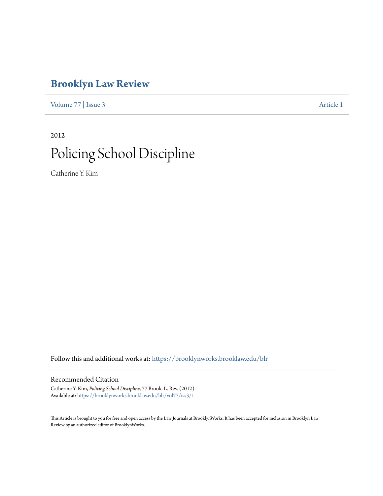# **[Brooklyn Law Review](https://brooklynworks.brooklaw.edu/blr?utm_source=brooklynworks.brooklaw.edu%2Fblr%2Fvol77%2Fiss3%2F1&utm_medium=PDF&utm_campaign=PDFCoverPages)**

[Volume 77](https://brooklynworks.brooklaw.edu/blr/vol77?utm_source=brooklynworks.brooklaw.edu%2Fblr%2Fvol77%2Fiss3%2F1&utm_medium=PDF&utm_campaign=PDFCoverPages) | [Issue 3](https://brooklynworks.brooklaw.edu/blr/vol77/iss3?utm_source=brooklynworks.brooklaw.edu%2Fblr%2Fvol77%2Fiss3%2F1&utm_medium=PDF&utm_campaign=PDFCoverPages) [Article 1](https://brooklynworks.brooklaw.edu/blr/vol77/iss3/1?utm_source=brooklynworks.brooklaw.edu%2Fblr%2Fvol77%2Fiss3%2F1&utm_medium=PDF&utm_campaign=PDFCoverPages)

2012

# Policing School Discipline

Catherine Y. Kim

Follow this and additional works at: [https://brooklynworks.brooklaw.edu/blr](https://brooklynworks.brooklaw.edu/blr?utm_source=brooklynworks.brooklaw.edu%2Fblr%2Fvol77%2Fiss3%2F1&utm_medium=PDF&utm_campaign=PDFCoverPages)

# Recommended Citation

Catherine Y. Kim, *Policing School Discipline*, 77 Brook. L. Rev. (2012). Available at: [https://brooklynworks.brooklaw.edu/blr/vol77/iss3/1](https://brooklynworks.brooklaw.edu/blr/vol77/iss3/1?utm_source=brooklynworks.brooklaw.edu%2Fblr%2Fvol77%2Fiss3%2F1&utm_medium=PDF&utm_campaign=PDFCoverPages)

This Article is brought to you for free and open access by the Law Journals at BrooklynWorks. It has been accepted for inclusion in Brooklyn Law Review by an authorized editor of BrooklynWorks.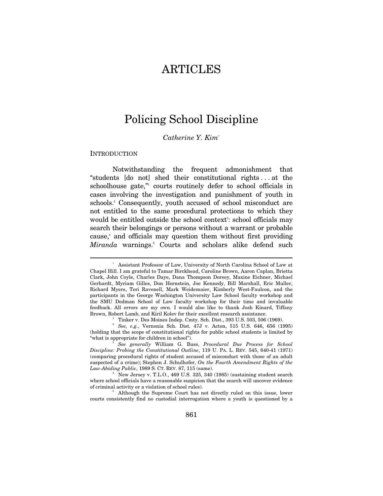# ARTICLES

# Policing School Discipline

## *Catherine Y. Kim*†

#### INTRODUCTION

 $\overline{a}$ 

Notwithstanding the frequent admonishment that "students [do not] shed their constitutional rights . . . at the schoolhouse gate," courts routinely defer to school officials in cases involving the investigation and punishment of youth in schools.<sup>2</sup> Consequently, youth accused of school misconduct are not entitled to the same procedural protections to which they would be entitled outside the school context<sup>3</sup>: school officials may search their belongings or persons without a warrant or probable cause,<sup>4</sup> and officials may question them without first providing Miranda warnings.<sup>5</sup> Courts and scholars alike defend such

<sup>†</sup> Assistant Professor of Law, University of North Carolina School of Law at Chapel Hill. I am grateful to Tamar Birckhead, Caroline Brown, Aaron Caplan, Brietta Clark, John Coyle, Charles Daye, Dana Thompson Dorsey, Maxine Eichner, Michael Gerhardt, Myriam Gilles, Don Hornstein, Joe Kennedy, Bill Marshall, Eric Muller, Richard Myers, Teri Ravenell, Mark Weidemaier, Kimberly West-Faulcon, and the participants in the George Washington University Law School faculty workshop and the SMU Dedman School of Law faculty workshop for their time and invaluable feedback. All errors are my own. I would also like to thank Josh Kinard, Tiffany Brown, Robert Lamb, and Kiril Kolev for their excellent research assistance. 1

Tinker v. Des Moines Indep. Cmty. Sch. Dist., 393 U.S. 503, 506 (1969).

<sup>2</sup>  *See, e.g.*, Vernonia Sch. Dist. 47J v. Acton, 515 U.S. 646, 656 (1995) (holding that the scope of constitutional rights for public school students is limited by "what is appropriate for children in school"). 3

*See generally* William G. Buss, *Procedural Due Process for School Discipline: Probing the Constitutional Outline*, 119 U. PA. L. REV. 545, 640-41 (1971) (comparing procedural rights of student accused of misconduct with those of an adult suspected of a crime); Stephen J. Schulhofer, *On the Fourth Amendment Rights of the Law-Abiding Public*, 1989 S. CT. REV. 87, 115 (same). 4

New Jersey v. T.L.O., 469 U.S. 325, 340 (1985) (sustaining student search where school officials have a reasonable suspicion that the search will uncover evidence of criminal activity or a violation of school rules). 5

<sup>&</sup>lt;sup>5</sup> Although the Supreme Court has not directly ruled on this issue, lower courts consistently find no custodial interrogation where a youth is questioned by a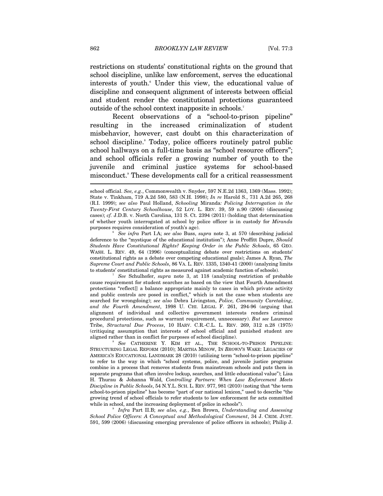restrictions on students' constitutional rights on the ground that school discipline, unlike law enforcement, serves the educational interests of youth.<sup>6</sup> Under this view, the educational value of discipline and consequent alignment of interests between official and student render the constitutional protections guaranteed outside of the school context inapposite in schools.7

Recent observations of a "school-to-prison pipeline" resulting in the increased criminalization of student misbehavior, however, cast doubt on this characterization of school discipline. Today, police officers routinely patrol public school hallways on a full-time basis as "school resource officers"; and school officials refer a growing number of youth to the juvenile and criminal justice systems for school-based misconduct.<sup>9</sup> These developments call for a critical reassessment

 *See infra* Part I.A; *see also* Buss, *supra* note 3, at 570 (describing judicial deference to the "mystique of the educational institution"); Anne Proffitt Dupre, *Should Students Have Constitutional Rights? Keeping Order in the Public Schools*, 65 GEO. WASH. L. REV. 49, 64 (1996) (conceptualizing debate over restrictions on students' constitutional rights as a debate over competing educational goals); James A. Ryan, *The Supreme Court and Public Schools*, 86 VA. L. REV. 1335, 1340-41 (2000) (analyzing limits to students' constitutional rights as measured against academic function of schools)*.* 

7  *See* Schulhofer, *supra* note 3, at 118 (analyzing restriction of probable cause requirement for student searches as based on the view that Fourth Amendment protections "reflect[] a balance appropriate mainly to cases in which private activity and public controls are posed in conflict," which is not the case when students are searched for wrongdoing); *see also* Debra Livingston, *Police, Community Caretaking*, *and the Fourth Amendment*, 1998 U. CHI. LEGAL F. 261, 294-96 (arguing that alignment of individual and collective government interests renders criminal procedural protections, such as warrant requirement, unnecessary). *But see* Laurence Tribe, *Structural Due Process*, 10 HARV. C.R.-C.L. L. REV. 269, 312 n.28 (1975) (critiquing assumption that interests of school official and punished student are aligned rather than in conflict for purposes of school discipline). 8

 *See* CATHERINE Y. KIM ET AL., THE SCHOOL-TO-PRISON PIPELINE: STRUCTURING LEGAL REFORM (2010); MARTHA MINOW, IN *BROWN*'S WAKE: LEGACIES OF AMERICA'S EDUCATIONAL LANDMARK 28 (2010) (utilizing term "school-to-prison pipeline" to refer to the way in which "school systems, police, and juvenile justice programs combine in a process that removes students from mainstream schools and puts them in separate programs that often involve lockup, searches, and little educational value"); Lisa H. Thurau & Johanna Wald, *Controlling Partners: When Law Enforcement Meets Discipline in Public Schools*, 54 N.Y.L. SCH. L. REV. 977, 981 (2010) (noting that "the term school-to-prison pipeline" has become "part of our national lexicon," used to describe "the growing trend of school officials to refer students to law enforcement for acts committed while in school, and the increasing deployment of police in schools".

 *Infra* Part II.B; *see also, e.g.*, Ben Brown, *Understanding and Assessing School Police Officers: A Conceptual and Methodological Comment*, 34 J. CRIM. JUST. 591, 599 (2006) (discussing emerging prevalence of police officers in schools); Philip J.

school official. *See, e.g.*, Commonwealth v. Snyder, 597 N.E.2d 1363, 1369 (Mass. 1992); State v. Tinkham, 719 A.2d 580, 583 (N.H. 1998); *In re* Harold S., 731 A.2d 265, 268 (R.I. 1999); *see also* Paul Holland, *Schooling* Miranda*: Policing Interrogation in the Twenty-First Century Schoolhouse*, 52 LOY. L. REV. 39, 59 n.90 (2006) (discussing cases); *cf.* J.D.B. v. North Carolina, 131 S. Ct. 2394 (2011) (holding that determination of whether youth interrogated at school by police officer is in custody for *Miranda* purposes requires consideration of youth's age).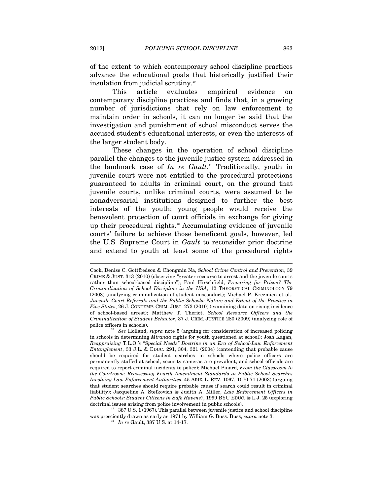of the extent to which contemporary school discipline practices advance the educational goals that historically justified their insulation from judicial scrutiny.<sup>10</sup>

This article evaluates empirical evidence on contemporary discipline practices and finds that, in a growing number of jurisdictions that rely on law enforcement to maintain order in schools, it can no longer be said that the investigation and punishment of school misconduct serves the accused student's educational interests, or even the interests of the larger student body.

These changes in the operation of school discipline parallel the changes to the juvenile justice system addressed in the landmark case of *In re Gault*. 11 Traditionally, youth in juvenile court were not entitled to the procedural protections guaranteed to adults in criminal court, on the ground that juvenile courts, unlike criminal courts, were assumed to be nonadversarial institutions designed to further the best interests of the youth; young people would receive the benevolent protection of court officials in exchange for giving up their procedural rights.12 Accumulating evidence of juvenile courts' failure to achieve those beneficent goals, however, led the U.S. Supreme Court in *Gault* to reconsider prior doctrine and extend to youth at least some of the procedural rights

was presciently drawn as early as 1971 by William G. Buss. Buss, *supra* note 3. 12 *In re* Gault, 387 U.S. at 14-17.

Cook, Denise C. Gottfredson & Chongmin Na, *School Crime Control and Prevention*, 39 CRIME & JUST. 313 (2010) (observing "greater recourse to arrest and the juvenile courts rather than school-based discipline"); Paul Hirschfield, *Preparing for Prison? The Criminalization of School Discipline in the USA*, 12 THEORETICAL CRIMINOLOGY 79 (2008) (analyzing criminalization of student misconduct); Michael P. Krezmien et al., *Juvenile Court Referrals and the Public Schools: Nature and Extent of the Practice in Five States*, 26 J. CONTEMP. CRIM. JUST. 273 (2010) (examining data on rising incidence of school-based arrest); Matthew T. Theriot, *School Resource Officers and the Criminalization of Student Behavior*, 37 J. CRIM. JUSTICE 280 (2009) (analyzing role of

police officers in schools). 10 *See* Holland, *supra* note 5 (arguing for consideration of increased policing in schools in determining *Miranda* rights for youth questioned at school); Josh Kagan, *Reappraising* T.L.O.*'s "Special Needs" Doctrine in an Era of School-Law Enforcement Entanglement*, 33 J.L. & EDUC. 291, 304, 321 (2004) (contending that probable cause should be required for student searches in schools where police officers are permanently staffed at school, security cameras are prevalent, and school officials are required to report criminal incidents to police); Michael Pinard, *From the Classroom to the Courtroom: Reassessing Fourth Amendment Standards in Public School Searches Involving Law Enforcement Authorities*, 45 ARIZ. L. REV. 1067, 1070-71 (2003) (arguing that student searches should require probable cause if search could result in criminal liability); Jacqueline A. Stefkovich & Judith A. Miller, *Law Enforcement Officers in Public Schools: Student Citizens in Safe Havens?*, 1999 BYU EDUC. & L.J. 25 (exploring doctrinal issues arising from police involvement in public schools).<br><sup>11</sup> 387 U.S. 1 (1967). This parallel between juvenile justice and school discipline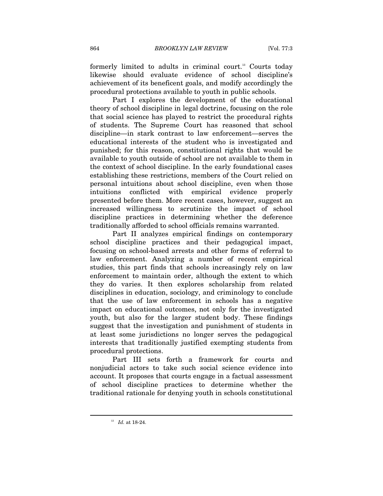formerly limited to adults in criminal court.<sup>13</sup> Courts today likewise should evaluate evidence of school discipline's achievement of its beneficent goals, and modify accordingly the procedural protections available to youth in public schools.

Part I explores the development of the educational theory of school discipline in legal doctrine, focusing on the role that social science has played to restrict the procedural rights of students. The Supreme Court has reasoned that school discipline—in stark contrast to law enforcement—serves the educational interests of the student who is investigated and punished; for this reason, constitutional rights that would be available to youth outside of school are not available to them in the context of school discipline. In the early foundational cases establishing these restrictions, members of the Court relied on personal intuitions about school discipline, even when those intuitions conflicted with empirical evidence properly presented before them. More recent cases, however, suggest an increased willingness to scrutinize the impact of school discipline practices in determining whether the deference traditionally afforded to school officials remains warranted.

Part II analyzes empirical findings on contemporary school discipline practices and their pedagogical impact, focusing on school-based arrests and other forms of referral to law enforcement. Analyzing a number of recent empirical studies, this part finds that schools increasingly rely on law enforcement to maintain order, although the extent to which they do varies. It then explores scholarship from related disciplines in education, sociology, and criminology to conclude that the use of law enforcement in schools has a negative impact on educational outcomes, not only for the investigated youth, but also for the larger student body. These findings suggest that the investigation and punishment of students in at least some jurisdictions no longer serves the pedagogical interests that traditionally justified exempting students from procedural protections.

Part III sets forth a framework for courts and nonjudicial actors to take such social science evidence into account. It proposes that courts engage in a factual assessment of school discipline practices to determine whether the traditional rationale for denying youth in schools constitutional

<sup>13</sup> *Id.* at 18-24.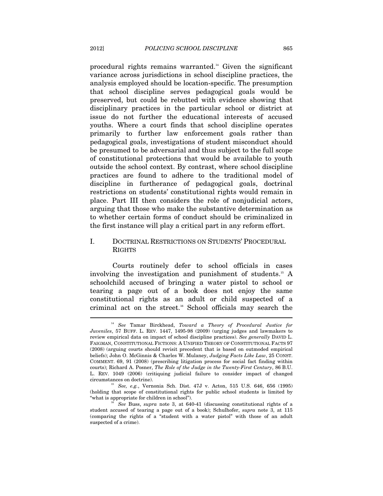procedural rights remains warranted.14 Given the significant variance across jurisdictions in school discipline practices, the analysis employed should be location-specific. The presumption that school discipline serves pedagogical goals would be preserved, but could be rebutted with evidence showing that disciplinary practices in the particular school or district at issue do not further the educational interests of accused youths. Where a court finds that school discipline operates primarily to further law enforcement goals rather than pedagogical goals, investigations of student misconduct should be presumed to be adversarial and thus subject to the full scope of constitutional protections that would be available to youth outside the school context. By contrast, where school discipline practices are found to adhere to the traditional model of discipline in furtherance of pedagogical goals, doctrinal restrictions on students' constitutional rights would remain in place. Part III then considers the role of nonjudicial actors, arguing that those who make the substantive determination as to whether certain forms of conduct should be criminalized in the first instance will play a critical part in any reform effort.

# I. DOCTRINAL RESTRICTIONS ON STUDENTS' PROCEDURAL RIGHTS

Courts routinely defer to school officials in cases involving the investigation and punishment of students.15 A schoolchild accused of bringing a water pistol to school or tearing a page out of a book does not enjoy the same constitutional rights as an adult or child suspected of a criminal act on the street.<sup>16</sup> School officials may search the

<sup>14</sup> *See* Tamar Birckhead, *Toward a Theory of Procedural Justice for Juveniles*, 57 BUFF. L. REV. 1447, 1495-98 (2009) (urging judges and lawmakers to review empirical data on impact of school discipline practices). *See generally* DAVID L. FAIGMAN, CONSTITUTIONAL FICTIONS: A UNIFIED THEORY OF CONSTITUTIONAL FACTS 97 (2008) (arguing courts should revisit precedent that is based on outmoded empirical beliefs); John O. McGinnis & Charles W. Mulaney, *Judging Facts Like Law*, 25 CONST. COMMENT. 69, 91 (2008) (prescribing litigation process for social fact finding within courts); Richard A. Posner, *The Role of the Judge in the Twenty-First Century*, 86 B.U. L. REV. 1049 (2006) (critiquing judicial failure to consider impact of changed circumstances on doctrine). 15 *See, e.g.*, Vernonia Sch. Dist. 47J v. Acton, 515 U.S. 646, 656 (1995)

<sup>(</sup>holding that scope of constitutional rights for public school students is limited by "what is appropriate for children in school"). 16 *See* Buss, *supra* note 3, at 640-41 (discussing constitutional rights of a

student accused of tearing a page out of a book); Schulhofer, *supra* note 3, at 115 (comparing the rights of a "student with a water pistol" with those of an adult suspected of a crime).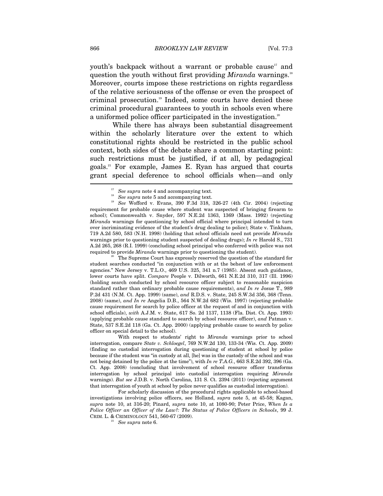youth's backpack without a warrant or probable cause<sup> $n$ </sup> and question the youth without first providing *Miranda* warnings.<sup>18</sup> Moreover, courts impose these restrictions on rights regardless of the relative seriousness of the offense or even the prospect of criminal prosecution.<sup>19</sup> Indeed, some courts have denied these criminal procedural guarantees to youth in schools even where a uniformed police officer participated in the investigation.<sup>20</sup>

While there has always been substantial disagreement within the scholarly literature over the extent to which constitutional rights should be restricted in the public school context, both sides of the debate share a common starting point: such restrictions must be justified, if at all, by pedagogical goals.21 For example, James E. Ryan has argued that courts grant special deference to school officials when—and only ـ<br>ـ

student searches conducted "in conjunction with or at the behest of law enforcement agencies." New Jersey v. T.L.O., 469 U.S. 325, 341 n.7 (1985). Absent such guidance, lower courts have split. *Compare* People v. Dilworth, 661 N.E.2d 310, 317 (Ill. 1996) (holding search conducted by school resource officer subject to reasonable suspicion standard rather than ordinary probable cause requirements), *and In re* Josue T., 989 P.2d 431 (N.M. Ct. App. 1999) (same), *and* R.D.S. v. State, 245 S.W.3d 356, 368 (Tenn. 2008) (same), *and In re* Angelia D.B., 564 N.W.2d 682 (Wis. 1997) (rejecting probable cause requirement for search by police officer at the request of and in conjunction with school officials), *with* A.J.M. v. State, 617 So. 2d 1137, 1138 (Fla. Dist. Ct. App. 1993) (applying probable cause standard to search by school resource officer), *and* Patman v. State, 537 S.E.2d 118 (Ga. Ct. App. 2000) (applying probable cause to search by police officer on special detail to the school).

 With respect to students' right to *Miranda* warnings prior to school interrogation, compare *State v. Schloegel*, 769 N.W.2d 130, 133-34 (Wis. Ct. App. 2009) (finding no custodial interrogation during questioning of student at school by police because if the student was "in custody at all, [he] was in the custody of the school and was not being detained by the police at the time"), with *In re T.A.G.*, 663 S.E.2d 392, 396 (Ga. Ct. App. 2008) (concluding that involvement of school resource officer transforms interrogation by school principal into custodial interrogation requiring *Miranda* warnings). *But see* J.D.B. v. North Carolina, 131 S. Ct. 2394 (2011) (rejecting argument that interrogation of youth at school by police never qualifies as custodial interrogation).

 For scholarly discussion of the procedural rights applicable to school-based investigations involving police officers, see Holland, *supra* note 5, at 45-58; Kagan, *supra* note 10, at 316-20; Pinard, *supra* note 10, at 1080-90; Peter Price, *When Is a Police Officer an Officer of the Law?: The Status of Police Officers in Schools*, 99 J. CRIM. L. & CRIMINOLOGY 541, 560-67 (2009). 21 *See supra* note 6.

<sup>&</sup>lt;sup>17</sup> See supra note 4 and accompanying text.<br><sup>18</sup> See supra note 5 and accompanying text.<br><sup>19</sup> See Wofford v. Evans, 390 F.3d 318, 326-27 (4th Cir. 2004) (rejecting requirement for probable cause where student was suspected of bringing firearm to school); Commonwealth v. Snyder, 597 N.E.2d 1363, 1369 (Mass. 1992) (rejecting *Miranda* warnings for questioning by school official where principal intended to turn over incriminating evidence of the student's drug dealing to police); State v. Tinkham, 719 A.2d 580, 583 (N.H. 1998) (holding that school officials need not provide *Miranda* warnings prior to questioning student suspected of dealing drugs); *In re* Harold S., 731 A.2d 265, 268 (R.I. 1999) (concluding school principal who conferred with police was not required to provide *Miranda* warnings prior to questioning the student).<br><sup>20</sup> The Supreme Court has expressly reserved the question of the standard for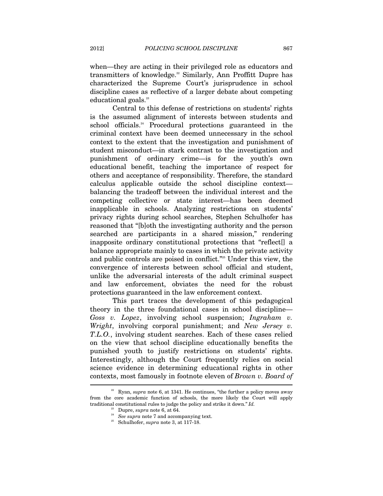when—they are acting in their privileged role as educators and

transmitters of knowledge.<sup>22</sup> Similarly, Ann Proffitt Dupre has characterized the Supreme Court's jurisprudence in school discipline cases as reflective of a larger debate about competing educational goals.<sup>23</sup>

Central to this defense of restrictions on students' rights is the assumed alignment of interests between students and school officials.<sup>24</sup> Procedural protections guaranteed in the criminal context have been deemed unnecessary in the school context to the extent that the investigation and punishment of student misconduct—in stark contrast to the investigation and punishment of ordinary crime—is for the youth's own educational benefit, teaching the importance of respect for others and acceptance of responsibility. Therefore, the standard calculus applicable outside the school discipline context balancing the tradeoff between the individual interest and the competing collective or state interest—has been deemed inapplicable in schools. Analyzing restrictions on students' privacy rights during school searches, Stephen Schulhofer has reasoned that "[b]oth the investigating authority and the person searched are participants in a shared mission," rendering inapposite ordinary constitutional protections that "reflect[] a balance appropriate mainly to cases in which the private activity and public controls are poised in conflict."25 Under this view, the convergence of interests between school official and student, unlike the adversarial interests of the adult criminal suspect and law enforcement, obviates the need for the robust protections guaranteed in the law enforcement context.

This part traces the development of this pedagogical theory in the three foundational cases in school discipline— *Goss v. Lopez*, involving school suspension; *Ingraham v. Wright*, involving corporal punishment; and *New Jersey v. T.L.O.*, involving student searches. Each of these cases relied on the view that school discipline educationally benefits the punished youth to justify restrictions on students' rights. Interestingly, although the Court frequently relies on social science evidence in determining educational rights in other contexts, most famously in footnote eleven of *Brown v. Board of* 

 $22$  Ryan, *supra* note 6, at 1341. He continues, "the further a policy moves away from the core academic function of schools, the more likely the Court will apply traditional constitutional rules to judge the policy and strike it down." *Id.* <sup>23</sup> Dupre, *supra* note 6, at 64. <br><sup>24</sup> See supra note 7 and accompanying text. <br><sup>25</sup> Schulhofer, *supra* note 3, at 117-18.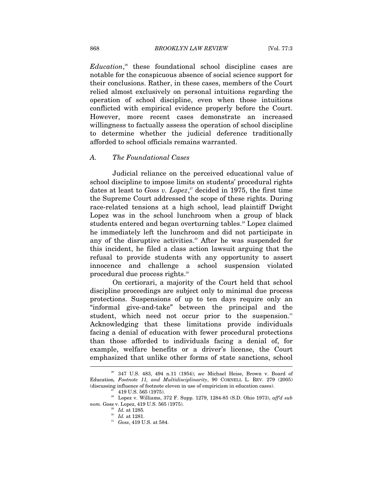Education,<sup>26</sup> these foundational school discipline cases are notable for the conspicuous absence of social science support for their conclusions. Rather, in these cases, members of the Court relied almost exclusively on personal intuitions regarding the operation of school discipline, even when those intuitions conflicted with empirical evidence properly before the Court. However, more recent cases demonstrate an increased willingness to factually assess the operation of school discipline to determine whether the judicial deference traditionally afforded to school officials remains warranted.

#### *A. The Foundational Cases*

Judicial reliance on the perceived educational value of school discipline to impose limits on students' procedural rights dates at least to *Goss v. Lopez*, 27 decided in 1975, the first time the Supreme Court addressed the scope of these rights. During race-related tensions at a high school, lead plaintiff Dwight Lopez was in the school lunchroom when a group of black students entered and began overturning tables.<sup>28</sup> Lopez claimed he immediately left the lunchroom and did not participate in any of the disruptive activities.<sup>29</sup> After he was suspended for this incident, he filed a class action lawsuit arguing that the refusal to provide students with any opportunity to assert innocence and challenge a school suspension violated procedural due process rights.<sup>30</sup>

On certiorari, a majority of the Court held that school discipline proceedings are subject only to minimal due process protections. Suspensions of up to ten days require only an "informal give-and-take" between the principal and the student, which need not occur prior to the suspension.<sup>31</sup> Acknowledging that these limitations provide individuals facing a denial of education with fewer procedural protections than those afforded to individuals facing a denial of, for example, welfare benefits or a driver's license, the Court emphasized that unlike other forms of state sanctions, school l

<sup>26 347</sup> U.S. 483, 494 n.11 (1954); *see* Michael Heise, Brown v. Board of Education*, Footnote 11, and Multidisciplinarity*, 90 CORNELL L. REV. 279 (2005) (discussing influence of footnote eleven in use of empiricism in education cases).  $^{27}$  419 U.S. 565 (1975).

<sup>28</sup> Lopez v. Williams, 372 F. Supp. 1279, 1284-85 (S.D. Ohio 1973), *aff'd sub nom.* Goss v. Lopez, 419 U.S. 565 (1975). 29 *Id.* at 1285*.*

<sup>&</sup>lt;sup>31</sup> *Goss*, 419 U.S. at 584.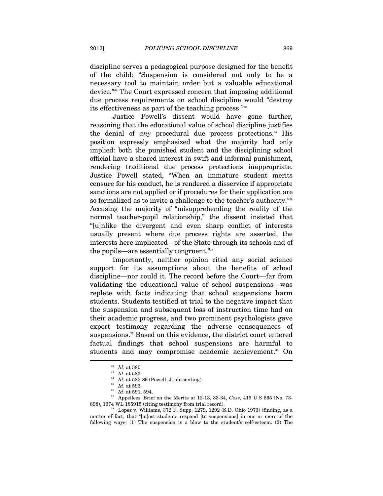discipline serves a pedagogical purpose designed for the benefit of the child: "Suspension is considered not only to be a necessary tool to maintain order but a valuable educational device."32 The Court expressed concern that imposing additional due process requirements on school discipline would "destroy its effectiveness as part of the teaching process."<sup>33</sup>

Justice Powell's dissent would have gone further, reasoning that the educational value of school discipline justifies the denial of *any* procedural due process protections.<sup>34</sup> His position expressly emphasized what the majority had only implied: both the punished student and the disciplining school official have a shared interest in swift and informal punishment, rendering traditional due process protections inappropriate. Justice Powell stated, "When an immature student merits censure for his conduct, he is rendered a disservice if appropriate sanctions are not applied or if procedures for their application are so formalized as to invite a challenge to the teacher's authority."<sup>35</sup> Accusing the majority of "misapprehending the reality of the normal teacher-pupil relationship," the dissent insisted that "[u]nlike the divergent and even sharp conflict of interests usually present where due process rights are asserted, the interests here implicated—of the State through its schools and of the pupils—are essentially congruent."<sup>36</sup>

Importantly, neither opinion cited any social science support for its assumptions about the benefits of school discipline—nor could it. The record before the Court—far from validating the educational value of school suspensions—was replete with facts indicating that school suspensions harm students. Students testified at trial to the negative impact that the suspension and subsequent loss of instruction time had on their academic progress, and two prominent psychologists gave expert testimony regarding the adverse consequences of suspensions.<sup>37</sup> Based on this evidence, the district court entered factual findings that school suspensions are harmful to students and may compromise academic achievement.<sup>38</sup> On

<sup>&</sup>lt;sup>32</sup> *Id.* at 580.<br>
<sup>33</sup> *Id.* at 583.<br>
<sup>34</sup> *Id.* at 585-86 (Powell, J., dissenting).<br>
<sup>35</sup> *Id.* at 593.<br>
<sup>36</sup> *Id.* at 591, 594.<br>
<sup>37</sup> Appellees' Brief on the Merits at 12-13, 33-34, *Goss*, 419 U.S 565 (No. 73-898), 1

Lopez v. Williams, 372 F. Supp. 1279, 1292 (S.D. Ohio 1973) (finding, as a matter of fact, that "[m]ost students respond [to suspensions] in one or more of the following ways: (1) The suspension is a blow to the student's self-esteem. (2) The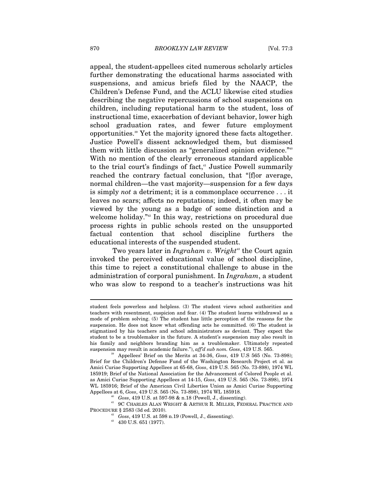appeal, the student-appellees cited numerous scholarly articles further demonstrating the educational harms associated with suspensions, and amicus briefs filed by the NAACP, the Children's Defense Fund, and the ACLU likewise cited studies describing the negative repercussions of school suspensions on children, including reputational harm to the student, loss of instructional time, exacerbation of deviant behavior, lower high school graduation rates, and fewer future employment opportunities.39 Yet the majority ignored these facts altogether. Justice Powell's dissent acknowledged them, but dismissed them with little discussion as "generalized opinion evidence."40 With no mention of the clearly erroneous standard applicable to the trial court's findings of fact,<sup>41</sup> Justice Powell summarily reached the contrary factual conclusion, that "[f]or average, normal children—the vast majority—suspension for a few days is simply *not* a detriment; it is a commonplace occurrence . . . it leaves no scars; affects no reputations; indeed, it often may be viewed by the young as a badge of some distinction and a welcome holiday."<sup>42</sup> In this way, restrictions on procedural due process rights in public schools rested on the unsupported factual contention that school discipline furthers the educational interests of the suspended student.

Two years later in *Ingraham v. Wright*<sup>43</sup> the Court again invoked the perceived educational value of school discipline, this time to reject a constitutional challenge to abuse in the administration of corporal punishment. In *Ingraham*, a student who was slow to respond to a teacher's instructions was hit

<sup>40</sup> Goss, 419 U.S. at 597-98 & n.18 (Powell, J., dissenting).<br><sup>41</sup> 9C CHARLES ALAN WRIGHT & ARTHUR R. MILLER, FEDERAL PRACTICE AND PROCEDURE § 2583 (3d ed. 2010). 42 *Goss*, 419 U.S. at 598 n.19 (Powell, J., dissenting). 43 430 U.S. 651 (1977).

student feels powerless and helpless. (3) The student views school authorities and teachers with resentment, suspicion and fear. (4) The student learns withdrawal as a mode of problem solving. (5) The student has little perception of the reasons for the suspension. He does not know what offending acts he committed. (6) The student is stigmatized by his teachers and school administrators as deviant. They expect the student to be a troublemaker in the future. A student's suspension may also result in his family and neighbors branding him as a troublemaker. Ultimately repeated suspension may result in academic failure."),  $affd$  sub nom. Goss, 419 U.S. 565.

<sup>&</sup>lt;sup>39</sup> Appellees' Brief on the Merits at 34-36, *Goss*, 419 U.S 565 (No. 73-898); Brief for the Children's Defense Fund of the Washington Research Project et al. as Amici Curiae Supporting Appellees at 65-68, *Goss*, 419 U.S. 565 (No. 73-898), 1974 WL 185919; Brief of the National Association for the Advancement of Colored People et al. as Amici Curiae Supporting Appellees at 14-15, *Goss*, 419 U.S. 565 (No. 73-898), 1974 WL 185916; Brief of the American Civil Liberties Union as Amici Curiae Supporting Appellees at 6, Goss, 419 U.S. 565 (No. 73-898), 1974 WL 185918.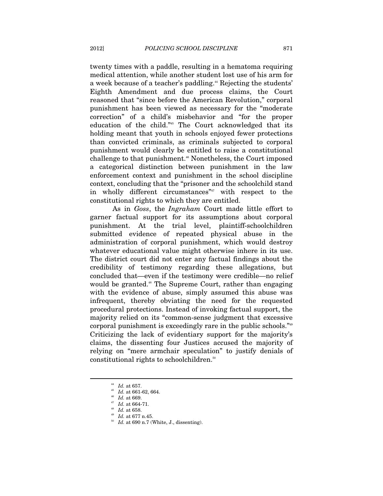twenty times with a paddle, resulting in a hematoma requiring medical attention, while another student lost use of his arm for a week because of a teacher's paddling.<sup>44</sup> Rejecting the students' Eighth Amendment and due process claims, the Court reasoned that "since before the American Revolution," corporal punishment has been viewed as necessary for the "moderate correction" of a child's misbehavior and "for the proper education of the child."45 The Court acknowledged that its holding meant that youth in schools enjoyed fewer protections than convicted criminals, as criminals subjected to corporal punishment would clearly be entitled to raise a constitutional challenge to that punishment.46 Nonetheless, the Court imposed a categorical distinction between punishment in the law enforcement context and punishment in the school discipline context, concluding that the "prisoner and the schoolchild stand in wholly different circumstances<sup>"47</sup> with respect to the constitutional rights to which they are entitled.

As in *Goss*, the *Ingraham* Court made little effort to garner factual support for its assumptions about corporal punishment. At the trial level, plaintiff-schoolchildren submitted evidence of repeated physical abuse in the administration of corporal punishment, which would destroy whatever educational value might otherwise inhere in its use. The district court did not enter any factual findings about the credibility of testimony regarding these allegations, but concluded that—even if the testimony were credible—no relief would be granted.<sup>48</sup> The Supreme Court, rather than engaging with the evidence of abuse, simply assumed this abuse was infrequent, thereby obviating the need for the requested procedural protections. Instead of invoking factual support, the majority relied on its "common-sense judgment that excessive corporal punishment is exceedingly rare in the public schools."49 Criticizing the lack of evidentiary support for the majority's claims, the dissenting four Justices accused the majority of relying on "mere armchair speculation" to justify denials of constitutional rights to schoolchildren.<sup>50</sup>

 $\overline{a}$ 

<sup>44</sup> *Id.* at 661-62, 664.<br><sup>46</sup> *Id.* at 669.<br><sup>47</sup> *Id.* at 664-71.<br><sup>48</sup> *Id.* at 658.<br><sup>49</sup> *Id.* at 677 n.45.<br><sup>50</sup> *Id.* at 690 n.7 (White, J., dissenting).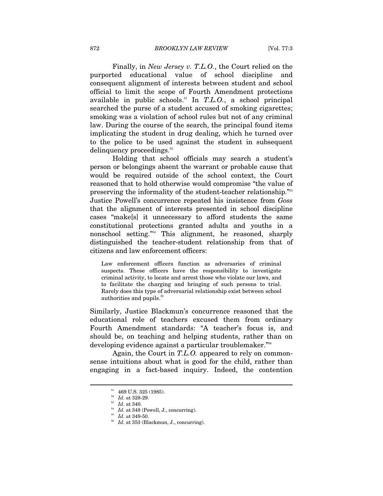Finally, in *New Jersey v. T.L.O.*, the Court relied on the purported educational value of school discipline and consequent alignment of interests between student and school official to limit the scope of Fourth Amendment protections available in public schools.51 In *T.L.O.*, a school principal searched the purse of a student accused of smoking cigarettes; smoking was a violation of school rules but not of any criminal law. During the course of the search, the principal found items implicating the student in drug dealing, which he turned over to the police to be used against the student in subsequent delinquency proceedings.<sup>52</sup>

Holding that school officials may search a student's person or belongings absent the warrant or probable cause that would be required outside of the school context, the Court reasoned that to hold otherwise would compromise "the value of preserving the informality of the student-teacher relationship."53 Justice Powell's concurrence repeated his insistence from *Goss* that the alignment of interests presented in school discipline cases "make[s] it unnecessary to afford students the same constitutional protections granted adults and youths in a nonschool setting."54 This alignment, he reasoned, sharply distinguished the teacher-student relationship from that of citizens and law enforcement officers:

Law enforcement officers function as adversaries of criminal suspects. These officers have the responsibility to investigate criminal activity, to locate and arrest those who violate our laws, and to facilitate the charging and bringing of such persons to trial. Rarely does this type of adversarial relationship exist between school authorities and pupils.<sup>55</sup>

Similarly, Justice Blackmun's concurrence reasoned that the educational role of teachers excused them from ordinary Fourth Amendment standards: "A teacher's focus is, and should be, on teaching and helping students, rather than on developing evidence against a particular troublemaker."56

Again, the Court in *T.L.O.* appeared to rely on commonsense intuitions about what is good for the child, rather than engaging in a fact-based inquiry. Indeed, the contention

 $^{51}$  469 U.S. 325 (1985).<br><sup>52</sup> Id. at 328-29.

<sup>&</sup>lt;sup>53</sup> *Id.* at 340.<br><sup>54</sup> *Id.* at 348 (Powell, J., concurring).<br><sup>55</sup> *Id.* at 349-50.<br><sup>56</sup> *Id.* at 353 (Blackmun, J., concurring).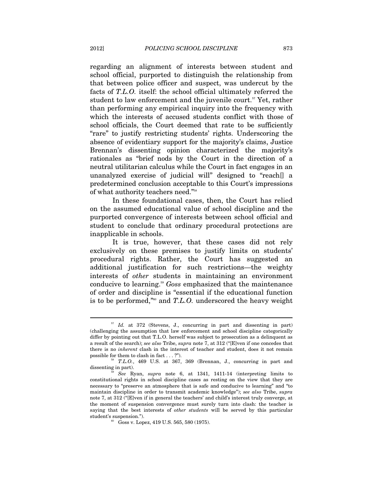regarding an alignment of interests between student and school official, purported to distinguish the relationship from that between police officer and suspect, was undercut by the facts of *T.L.O.* itself: the school official ultimately referred the student to law enforcement and the juvenile court.<sup>57</sup> Yet, rather than performing any empirical inquiry into the frequency with which the interests of accused students conflict with those of school officials, the Court deemed that rate to be sufficiently "rare" to justify restricting students' rights. Underscoring the absence of evidentiary support for the majority's claims, Justice Brennan's dissenting opinion characterized the majority's rationales as "brief nods by the Court in the direction of a neutral utilitarian calculus while the Court in fact engages in an unanalyzed exercise of judicial will" designed to "reach[] a predetermined conclusion acceptable to this Court's impressions of what authority teachers need."58

In these foundational cases, then, the Court has relied on the assumed educational value of school discipline and the purported convergence of interests between school official and student to conclude that ordinary procedural protections are inapplicable in schools.

It is true, however, that these cases did not rely exclusively on these premises to justify limits on students' procedural rights. Rather, the Court has suggested an additional justification for such restrictions—the weighty interests of *other* students in maintaining an environment conducive to learning.59 *Goss* emphasized that the maintenance of order and discipline is "essential if the educational function is to be performed,"60 and *T.L.O.* underscored the heavy weight

<sup>&</sup>lt;sup>57</sup> *Id.* at 372 (Stevens, J., concurring in part and dissenting in part) (challenging the assumption that law enforcement and school discipline categorically differ by pointing out that T.L.O. herself was subject to prosecution as a delinquent as a result of the search); *see also* Tribe, *supra* note 7, at 312 ("[E]ven if one concedes that there is no *inherent* clash in the interest of teacher and student, does it not remain

possible for them to clash in fact . . . ?").<br><sup>58</sup> *T.L.O.*, 469 U.S. at 367, 369 (Brennan, J., concurring in part and dissenting in part). 59 *See* Ryan, *supra* note 6, at 1341, 1411-14 (interpreting limits to

constitutional rights in school discipline cases as resting on the view that they are necessary to "preserve an atmosphere that is safe and conducive to learning" and "to maintain discipline in order to transmit academic knowledge"); *see also* Tribe, *supra*  note 7, at 312 ("[E]ven if in general the teachers' and child's interest truly converge, at the moment of suspension convergence must surely turn into clash: the teacher is saying that the best interests of *other students* will be served by this particular student's suspension.").<br><sup>60</sup> Goss v. Lopez, 419 U.S. 565, 580 (1975).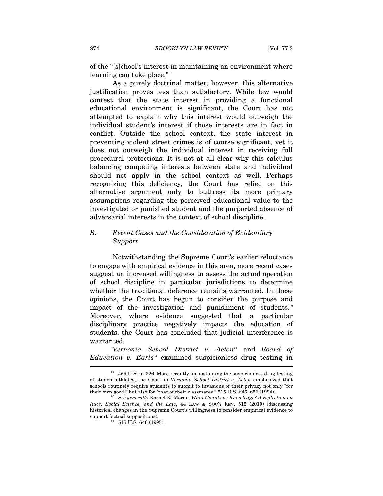of the "[s]chool's interest in maintaining an environment where learning can take place."<sup>61</sup>

As a purely doctrinal matter, however, this alternative justification proves less than satisfactory. While few would contest that the state interest in providing a functional educational environment is significant, the Court has not attempted to explain why this interest would outweigh the individual student's interest if those interests are in fact in conflict. Outside the school context, the state interest in preventing violent street crimes is of course significant, yet it does not outweigh the individual interest in receiving full procedural protections. It is not at all clear why this calculus balancing competing interests between state and individual should not apply in the school context as well. Perhaps recognizing this deficiency, the Court has relied on this alternative argument only to buttress its more primary assumptions regarding the perceived educational value to the investigated or punished student and the purported absence of adversarial interests in the context of school discipline.

# *B. Recent Cases and the Consideration of Evidentiary Support*

Notwithstanding the Supreme Court's earlier reluctance to engage with empirical evidence in this area, more recent cases suggest an increased willingness to assess the actual operation of school discipline in particular jurisdictions to determine whether the traditional deference remains warranted. In these opinions, the Court has begun to consider the purpose and impact of the investigation and punishment of students.<sup>62</sup> Moreover, where evidence suggested that a particular disciplinary practice negatively impacts the education of students, the Court has concluded that judicial interference is warranted.

*Vernonia School District v. Acton*<sup>63</sup> and *Board of Education v. Earls*<sup>64</sup> examined suspicionless drug testing in

 $61$  469 U.S. at 326. More recently, in sustaining the suspicionless drug testing of student-athletes, the Court in *Vernonia School District v. Acton* emphasized that schools routinely require students to submit to invasions of their privacy not only "for their own good," but also for "that of their classmates." 515 U.S. 646, 656 (1994).

See generally Rachel R. Moran, *What Counts as Knowledge? A Reflection on Race, Social Science, and the Law*, 44 LAW & SOC'Y REV. 515 (2010) (discussing historical changes in the Supreme Court's willingness to consider empirical evidence to support factual suppositions).<br><sup>63</sup> 515 U.S. 646 (1995).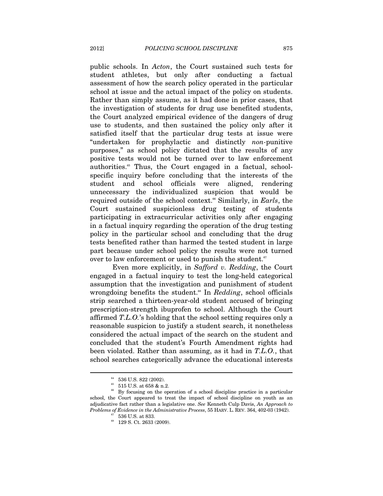public schools. In *Acton*, the Court sustained such tests for student athletes, but only after conducting a factual assessment of how the search policy operated in the particular school at issue and the actual impact of the policy on students. Rather than simply assume, as it had done in prior cases, that the investigation of students for drug use benefited students, the Court analyzed empirical evidence of the dangers of drug use to students, and then sustained the policy only after it satisfied itself that the particular drug tests at issue were "undertaken for prophylactic and distinctly *non-*punitive purposes," as school policy dictated that the results of any positive tests would not be turned over to law enforcement authorities.<sup>65</sup> Thus, the Court engaged in a factual, schoolspecific inquiry before concluding that the interests of the student and school officials were aligned, rendering unnecessary the individualized suspicion that would be required outside of the school context.66 Similarly, in *Earls*, the Court sustained suspicionless drug testing of students participating in extracurricular activities only after engaging in a factual inquiry regarding the operation of the drug testing policy in the particular school and concluding that the drug tests benefited rather than harmed the tested student in large part because under school policy the results were not turned over to law enforcement or used to punish the student.<sup>67</sup>

Even more explicitly, in *Safford v. Redding*, the Court engaged in a factual inquiry to test the long-held categorical assumption that the investigation and punishment of student wrongdoing benefits the student.<sup>68</sup> In *Redding*, school officials strip searched a thirteen-year-old student accused of bringing prescription-strength ibuprofen to school. Although the Court affirmed *T.L.O.*'s holding that the school setting requires only a reasonable suspicion to justify a student search, it nonetheless considered the actual impact of the search on the student and concluded that the student's Fourth Amendment rights had been violated. Rather than assuming, as it had in *T.L.O.*, that school searches categorically advance the educational interests

<sup>&</sup>lt;sup>64</sup> 536 U.S. 822 (2002).<br><sup>65</sup> 515 U.S. at 658 & n.2.

<sup>&</sup>lt;sup>66</sup> By focusing on the operation of a school discipline practice in a particular school, the Court appeared to treat the impact of school discipline on youth as an adjudicative fact rather than a legislative one. *See* Kenneth Culp Davis, *An Approach to Problems of Evidence in the Administrative Process*, 55 HARV. L. REV. 364, 402-03 (1942).  $536$  U.S. at 833.

 $68$  129 S. Ct. 2633 (2009).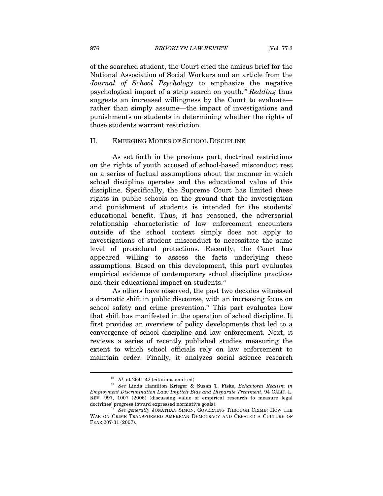of the searched student, the Court cited the amicus brief for the National Association of Social Workers and an article from the *Journal of School Psychology* to emphasize the negative psychological impact of a strip search on youth.69 *Redding* thus suggests an increased willingness by the Court to evaluate rather than simply assume—the impact of investigations and punishments on students in determining whether the rights of those students warrant restriction.

#### II. EMERGING MODES OF SCHOOL DISCIPLINE

As set forth in the previous part, doctrinal restrictions on the rights of youth accused of school-based misconduct rest on a series of factual assumptions about the manner in which school discipline operates and the educational value of this discipline. Specifically, the Supreme Court has limited these rights in public schools on the ground that the investigation and punishment of students is intended for the students' educational benefit. Thus, it has reasoned, the adversarial relationship characteristic of law enforcement encounters outside of the school context simply does not apply to investigations of student misconduct to necessitate the same level of procedural protections. Recently, the Court has appeared willing to assess the facts underlying these assumptions. Based on this development, this part evaluates empirical evidence of contemporary school discipline practices and their educational impact on students.<sup>70</sup>

As others have observed, the past two decades witnessed a dramatic shift in public discourse, with an increasing focus on school safety and crime prevention.<sup> $n$ </sup> This part evaluates how that shift has manifested in the operation of school discipline. It first provides an overview of policy developments that led to a convergence of school discipline and law enforcement. Next, it reviews a series of recently published studies measuring the extent to which school officials rely on law enforcement to maintain order. Finally, it analyzes social science research

<sup>69</sup> *Id.* at 2641-42 (citations omitted). 70 *See* Linda Hamilton Krieger & Susan T. Fiske, *Behavioral Realism in Employment Discrimination Law: Implicit Bias and Disparate Treatment*, 94 CALIF. L. REV. 997, 1007 (2006) (discussing value of empirical research to measure legal

See generally JONATHAN SIMON, GOVERNING THROUGH CRIME: HOW THE WAR ON CRIME TRANSFORMED AMERICAN DEMOCRACY AND CREATED A CULTURE OF FEAR 207-31 (2007).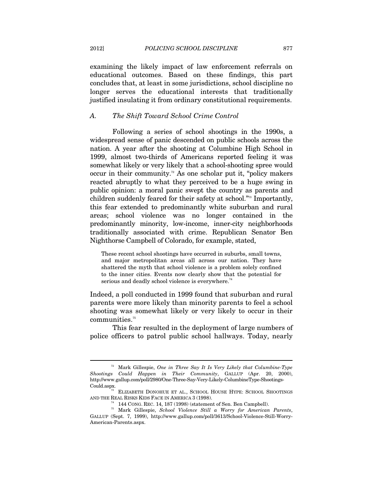examining the likely impact of law enforcement referrals on educational outcomes. Based on these findings, this part concludes that, at least in some jurisdictions, school discipline no longer serves the educational interests that traditionally justified insulating it from ordinary constitutional requirements.

#### *A. The Shift Toward School Crime Control*

Following a series of school shootings in the 1990s, a widespread sense of panic descended on public schools across the nation. A year after the shooting at Columbine High School in 1999, almost two-thirds of Americans reported feeling it was somewhat likely or very likely that a school-shooting spree would occur in their community.<sup>72</sup> As one scholar put it, "policy makers" reacted abruptly to what they perceived to be a huge swing in public opinion: a moral panic swept the country as parents and children suddenly feared for their safety at school."<sup>73</sup> Importantly, this fear extended to predominantly white suburban and rural areas; school violence was no longer contained in the predominantly minority, low-income, inner-city neighborhoods traditionally associated with crime. Republican Senator Ben Nighthorse Campbell of Colorado, for example, stated,

These recent school shootings have occurred in suburbs, small towns, and major metropolitan areas all across our nation. They have shattered the myth that school violence is a problem solely confined to the inner cities. Events now clearly show that the potential for serious and deadly school violence is everywhere.<sup>74</sup>

Indeed, a poll conducted in 1999 found that suburban and rural parents were more likely than minority parents to feel a school shooting was somewhat likely or very likely to occur in their  $commu nities.$ <sup>75</sup>

This fear resulted in the deployment of large numbers of police officers to patrol public school hallways. Today, nearly

<sup>72</sup> Mark Gillespie, *One in Three Say It Is Very Likely that Columbine-Type Shootings Could Happen in Their Community*, GALLUP (Apr. 20, 2000), http://www.gallup.com/poll/2980/One-Three-Say-Very-Likely-ColumbineType-Shootings-

 $T^3$  ELIZABETH DONOHUE ET AL., SCHOOL HOUSE HYPE: SCHOOL SHOOTINGS AND THE REAL RISKS KIDS FACE IN AMERICA 3 (1998). 74 144 CONG. REC. 14, 187 (1998) (statement of Sen. Ben Campbell). 75 Mark Gillespie, *School Violence Still a Worry for American Parents*,

GALLUP (Sept. 7, 1999), http://www.gallup.com/poll/3613/School-Violence-Still-Worry-American-Parents.aspx.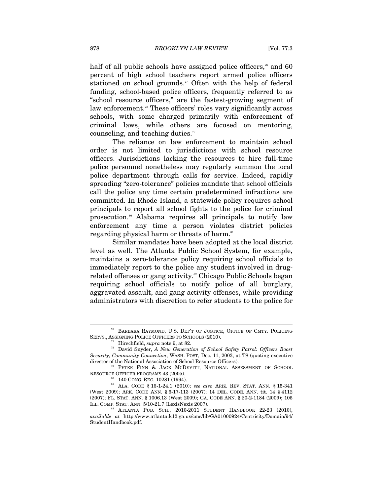half of all public schools have assigned police officers,<sup> $\pi$ </sup> and 60 percent of high school teachers report armed police officers stationed on school grounds.<sup>77</sup> Often with the help of federal funding, school-based police officers, frequently referred to as "school resource officers," are the fastest-growing segment of law enforcement.<sup>78</sup> These officers' roles vary significantly across schools, with some charged primarily with enforcement of criminal laws, while others are focused on mentoring, counseling, and teaching duties.79

The reliance on law enforcement to maintain school order is not limited to jurisdictions with school resource officers. Jurisdictions lacking the resources to hire full-time police personnel nonetheless may regularly summon the local police department through calls for service. Indeed, rapidly spreading "zero-tolerance" policies mandate that school officials call the police any time certain predetermined infractions are committed. In Rhode Island, a statewide policy requires school principals to report all school fights to the police for criminal prosecution.80 Alabama requires all principals to notify law enforcement any time a person violates district policies regarding physical harm or threats of harm.<sup>81</sup>

Similar mandates have been adopted at the local district level as well. The Atlanta Public School System, for example, maintains a zero-tolerance policy requiring school officials to immediately report to the police any student involved in drugrelated offenses or gang activity.<sup>82</sup> Chicago Public Schools began requiring school officials to notify police of all burglary, aggravated assault, and gang activity offenses, while providing administrators with discretion to refer students to the police for

<sup>76</sup> BARBARA RAYMOND, U.S. DEP'T OF JUSTICE, OFFICE OF CMTY. POLICING SERVS., ASSIGNING POLICE OFFICERS TO SCHOOLS (2010).<br><sup>77</sup> Hirschfield, *supra* note 9, at 82.<br><sup>78</sup> David Snyder, *A New Generation of School Safety Patrol: Officers Boost* 

*Security, Community Connection*, WASH. POST, Dec. 11, 2003, at T8 (quoting executive director of the National Association of School Resource Officers).<br><sup>79</sup> PETER FINN & JACK MCDEVITT, NATIONAL ASSESSMENT OF SCHOOL

RESOURCE OFFICER PROGRAMS 43 (2005). 80 140 CONG. REC. 10281 (1994). 81 ALA. CODE § 16-1-24.1 (2010); *see also* ARIZ. REV. STAT. ANN. § 15-341

<sup>(</sup>West 2009); ARK. CODE ANN. § 6-17-113 (2007); 14 DEL. CODE. ANN. tit. 14 § 4112 (2007); FL. STAT. ANN. § 1006.13 (West 2009); GA. CODE ANN. § 20-2-1184 (2009); 105 ILL. COMP. STAT. ANN. 5/10-21.7 (LexisNexis 2007).<br><sup>82</sup> ATLANTA PUB. SCH., 2010-2011 STUDENT HANDBOOK 22-23 (2010),

*available at* http://www.atlanta.k12.ga.us/cms/lib/GA01000924/Centricity/Domain/94/ StudentHandbook.pdf.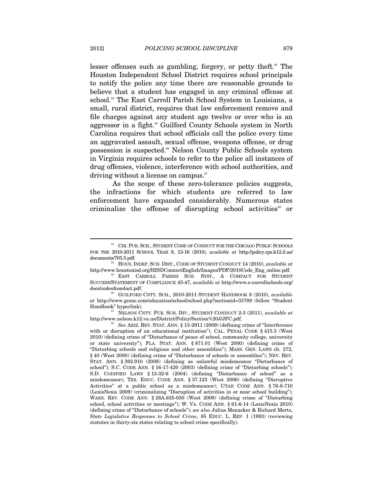lesser offenses such as gambling, forgery, or petty theft.<sup>83</sup> The Houston Independent School District requires school principals to notify the police any time there are reasonable grounds to believe that a student has engaged in any criminal offense at school.<sup>84</sup> The East Carroll Parish School System in Louisiana, a small, rural district, requires that law enforcement remove and file charges against any student age twelve or over who is an aggressor in a fight.<sup>85</sup> Guilford County Schools system in North Carolina requires that school officials call the police every time an aggravated assault, sexual offense, weapons offense, or drug possession is suspected.86 Nelson County Public Schools system in Virginia requires schools to refer to the police all instances of drug offenses, violence, interference with school authorities, and driving without a license on campus.<sup>87</sup>

As the scope of these zero-tolerance policies suggests, the infractions for which students are referred to law enforcement have expanded considerably. Numerous states criminalize the offense of disrupting school activities<sup>88</sup> or

http://www.nelson.k12.va.us/District/Policy/Section%20J/JFC.pdf.<br><sup>88</sup> See ARIZ. REV. STAT. ANN. § 13-2911 (2009) (defining crime of "Interference

<sup>83</sup> CHI. PUB. SCH., STUDENT CODE OF CONDUCT FOR THE CHICAGO PUBLIC SCHOOLS FOR THE 2010-2011 SCHOOL YEAR 8, 13-16 (2010), *available at* http://policy.cps.k12.il.us/

documents/705.5.pdf. 84 HOUS. INDEP. SCH. DIST., CODE OF STUDENT CONDUCT 14 (2010), *available at* http://www.houstonisd.org/HISDConnectEnglish/Images/PDF/2010Code\_Eng\_online.pdf. 85 EAST CARROLL PARISH SCH. SYST., <sup>A</sup> COMPACT FOR STUDENT

SUCCESS/STATEMENT OF COMPLIANCE 45-47, *available at* http://www.e-carrollschools.org/ docs/codeofconduct.pdf.<br><sup>86</sup> GUILFORD CNTY. SCH., 2010-2011 STUDENT HANDBOOK 8 (2010), *available* 

*at* http://www.gcsnc.com/education/school/school.php?sectionid=33789 (follow "Student Handbook" hyperlink). 87 NELSON CNTY. PUB. SCH. DIV., STUDENT CONDUCT 2-3 (2011), *available at*

with or disruption of an educational institution"); CAL. PENAL CODE § 415.5 (West 2010) (defining crime of "Disturbance of peace of school, community college, university or state university"); FLA. STAT. ANN. § 871.01 (West 2000) (defining crime of "Disturbing schools and religious and other assemblies"); MASS. GEN. LAWS ch. 272, § 40 (West 2000) (defining crime of "Disturbance of schools or assemblies"); NEV. REV. STAT. ANN. § 392.910 (2008) (defining as unlawful misdemeanor "Disturbance of school"); S.C. CODE ANN. § 16-17-420 (2003) (defining crime of "Disturbing schools"); S.D. CODIFIED LAWS § 13-32-6 (2004) (defining "Disturbance of school" as a misdemeanor); TEX. EDUC. CODE ANN. § 37.123 (West 2006) (defining "Disruptive Activities" at a public school as a misdemeanor); UTAH CODE ANN. § 76-8-710 (LexisNexis 2009) (criminalizing "Disruption of activities in or near school building"); WASH. REV. CODE ANN. § 28A.635-030 (West 2009) (defining crime of "Disturbing school, school activities or meetings"); W. VA. CODE ANN. § 61-6-14 (LexisNexis 2010) (defining crime of "Disturbance of schools"); *see also* Julius Menacker & Richard Mertz, *State Legislative Responses to School Crime*, 85 EDUC. L. REP. 1 (1993) (reviewing statutes in thirty-six states relating to school crime specifically).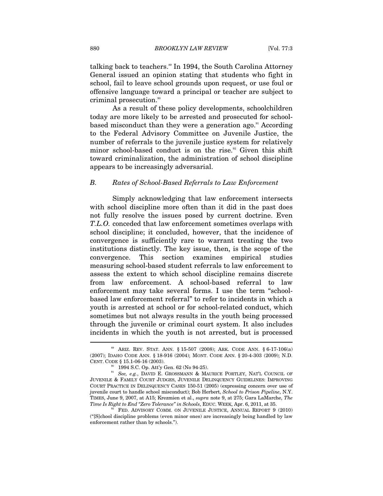talking back to teachers.<sup>89</sup> In 1994, the South Carolina Attorney General issued an opinion stating that students who fight in school, fail to leave school grounds upon request, or use foul or offensive language toward a principal or teacher are subject to criminal prosecution.<sup>90</sup>

As a result of these policy developments, schoolchildren today are more likely to be arrested and prosecuted for schoolbased misconduct than they were a generation ago.<sup>91</sup> According to the Federal Advisory Committee on Juvenile Justice, the number of referrals to the juvenile justice system for relatively minor school-based conduct is on the rise.<sup>92</sup> Given this shift toward criminalization, the administration of school discipline appears to be increasingly adversarial.

#### *B. Rates of School-Based Referrals to Law Enforcement*

Simply acknowledging that law enforcement intersects with school discipline more often than it did in the past does not fully resolve the issues posed by current doctrine. Even *T.L.O.* conceded that law enforcement sometimes overlaps with school discipline; it concluded, however, that the incidence of convergence is sufficiently rare to warrant treating the two institutions distinctly. The key issue, then, is the scope of the convergence. This section examines empirical studies measuring school-based student referrals to law enforcement to assess the extent to which school discipline remains discrete from law enforcement. A school-based referral to law enforcement may take several forms. I use the term "schoolbased law enforcement referral" to refer to incidents in which a youth is arrested at school or for school-related conduct, which sometimes but not always results in the youth being processed through the juvenile or criminal court system. It also includes incidents in which the youth is not arrested, but is processed  $\overline{a}$ 

<sup>89</sup> ARIZ. REV. STAT. ANN. § 15-507 (2008); ARK. CODE ANN. § 6-17-106(a) (2007); IDAHO CODE ANN. § 18-916 (2004); MONT. CODE ANN. § 20-4-303 (2009); N.D. CENT. CODE § 15.1-06-16 (2003).

<sup>1994</sup> S.C. Op. Att'y Gen. 62 (No 94-25).

<sup>&</sup>lt;sup>91</sup> See, e.g., DAVID E. GROSSMANN & MAURICE PORTLEY, NAT'L COUNCIL OF JUVENILE & FAMILY COURT JUDGES, JUVENILE DELINQUENCY GUIDELINES: IMPROVING COURT PRACTICE IN DELINQUENCY CASES 150-51 (2005) (expressing concern over use of juvenile court to handle school misconduct); Bob Herbert, *School to Prison Pipeline*, N.Y. TIMES, June 9, 2007, at A15; Krezmien et al., *supra* note 9, at 275; Gara LaMarche, *The* 

FED. ADVISORY COMM. ON JUVENILE JUSTICE, ANNUAL REPORT 9 (2010) ("[S]chool discipline problems (even minor ones) are increasingly being handled by law enforcement rather than by schools.").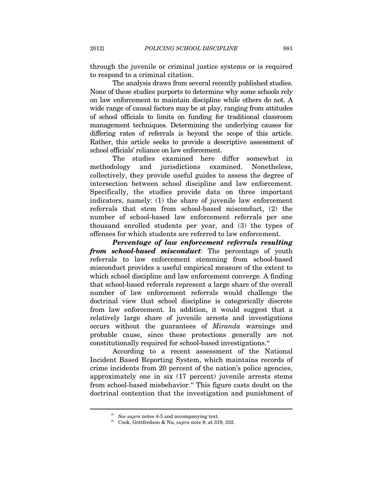through the juvenile or criminal justice systems or is required to respond to a criminal citation.

The analysis draws from several recently published studies. None of these studies purports to determine why some schools rely on law enforcement to maintain discipline while others do not. A wide range of causal factors may be at play, ranging from attitudes of school officials to limits on funding for traditional classroom management techniques. Determining the underlying causes for differing rates of referrals is beyond the scope of this article. Rather, this article seeks to provide a descriptive assessment of school officials' reliance on law enforcement.

The studies examined here differ somewhat in methodology and jurisdictions examined. Nonetheless, collectively, they provide useful guides to assess the degree of intersection between school discipline and law enforcement. Specifically, the studies provide data on three important indicators, namely: (1) the share of juvenile law enforcement referrals that stem from school-based misconduct, (2) the number of school-based law enforcement referrals per one thousand enrolled students per year, and (3) the types of offenses for which students are referred to law enforcement.

*Percentage of law enforcement referrals resulting from school-based misconduct:* The percentage of youth referrals to law enforcement stemming from school-based misconduct provides a useful empirical measure of the extent to which school discipline and law enforcement converge. A finding that school-based referrals represent a large share of the overall number of law enforcement referrals would challenge the doctrinal view that school discipline is categorically discrete from law enforcement. In addition, it would suggest that a relatively large share of juvenile arrests and investigations occurs without the guarantees of *Miranda* warnings and probable cause, since these protections generally are not constitutionally required for school-based investigations.<sup>33</sup>

According to a recent assessment of the National Incident Based Reporting System, which maintains records of crime incidents from 20 percent of the nation's police agencies, approximately one in six (17 percent) juvenile arrests stems from school-based misbehavior.<sup>94</sup> This figure casts doubt on the doctrinal contention that the investigation and punishment of

<sup>&</sup>lt;sup>93</sup> See supra notes 4-5 and accompanying text.<br><sup>94</sup> Cook, Gottfredson & Na, *supra* note 9, at 319, 332.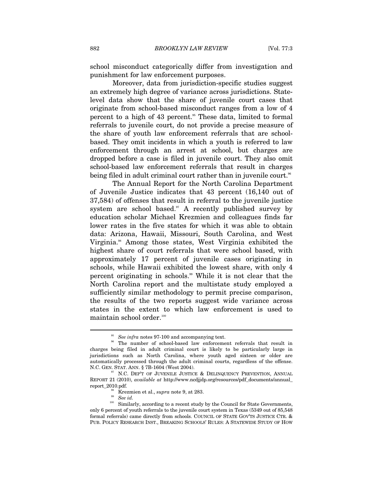school misconduct categorically differ from investigation and punishment for law enforcement purposes.

Moreover, data from jurisdiction-specific studies suggest an extremely high degree of variance across jurisdictions. Statelevel data show that the share of juvenile court cases that originate from school-based misconduct ranges from a low of 4 percent to a high of 43 percent.<sup>95</sup> These data, limited to formal referrals to juvenile court, do not provide a precise measure of the share of youth law enforcement referrals that are schoolbased. They omit incidents in which a youth is referred to law enforcement through an arrest at school, but charges are dropped before a case is filed in juvenile court. They also omit school-based law enforcement referrals that result in charges being filed in adult criminal court rather than in juvenile court.<sup>86</sup>

The Annual Report for the North Carolina Department of Juvenile Justice indicates that 43 percent (16,140 out of 37,584) of offenses that result in referral to the juvenile justice system are school based.<sup>97</sup> A recently published survey by education scholar Michael Krezmien and colleagues finds far lower rates in the five states for which it was able to obtain data: Arizona, Hawaii, Missouri, South Carolina, and West Virginia.98 Among those states, West Virginia exhibited the highest share of court referrals that were school based, with approximately 17 percent of juvenile cases originating in schools, while Hawaii exhibited the lowest share, with only 4 percent originating in schools.<sup>99</sup> While it is not clear that the North Carolina report and the multistate study employed a sufficiently similar methodology to permit precise comparison, the results of the two reports suggest wide variance across states in the extent to which law enforcement is used to maintain school order.100

<sup>&</sup>lt;sup>95</sup> *See infra* notes 97-100 and accompanying text.<br><sup>96</sup> The number of school-based law enforcement referrals that result in charges being filed in adult criminal court is likely to be particularly large in jurisdictions such as North Carolina, where youth aged sixteen or older are automatically processed through the adult criminal courts, regardless of the offense. N.C. GEN. STAT. ANN. § 7B-1604 (West 2004).

 $^{97}$  N.C. DEPT OF JUVENILE JUSTICE & DELINQUENCY PREVENTION, ANNUAL REPORT 21 (2010), *available at* http://www.ncdjjdp.org/resources/pdf\_documents/annual\_ report\_2010.pdf.<br><sup>98</sup> Krezmien et al., *supra* note 9, at 283.<br><sup>99</sup> *See id.* <sup>100</sup> Similarly, according to a recent study by the Council for State Governments,

only 6 percent of youth referrals to the juvenile court system in Texas (5349 out of 85,548 formal referrals) came directly from schools. COUNCIL OF STATE GOV'TS JUSTICE CTR. & PUB. POLICY RESEARCH INST., BREAKING SCHOOLS' RULES: A STATEWIDE STUDY OF HOW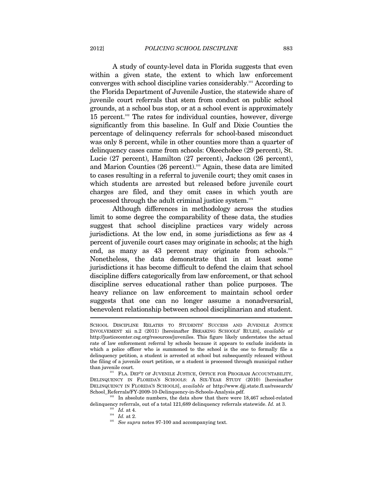A study of county-level data in Florida suggests that even within a given state, the extent to which law enforcement converges with school discipline varies considerably.101 According to the Florida Department of Juvenile Justice, the statewide share of juvenile court referrals that stem from conduct on public school grounds, at a school bus stop, or at a school event is approximately 15 percent.102 The rates for individual counties, however, diverge significantly from this baseline. In Gulf and Dixie Counties the percentage of delinquency referrals for school-based misconduct was only 8 percent, while in other counties more than a quarter of delinquency cases came from schools: Okeechobee (29 percent), St. Lucie (27 percent), Hamilton (27 percent), Jackson (26 percent), and Marion Counties (26 percent).<sup>103</sup> Again, these data are limited to cases resulting in a referral to juvenile court; they omit cases in which students are arrested but released before juvenile court charges are filed, and they omit cases in which youth are processed through the adult criminal justice system.<sup>104</sup>

Although differences in methodology across the studies limit to some degree the comparability of these data, the studies suggest that school discipline practices vary widely across jurisdictions. At the low end, in some jurisdictions as few as 4 percent of juvenile court cases may originate in schools; at the high end, as many as 43 percent may originate from schools.<sup>105</sup> Nonetheless, the data demonstrate that in at least some jurisdictions it has become difficult to defend the claim that school discipline differs categorically from law enforcement, or that school discipline serves educational rather than police purposes. The heavy reliance on law enforcement to maintain school order suggests that one can no longer assume a nonadversarial, benevolent relationship between school disciplinarian and student. I

 $\frac{602}{}$  In absolute numbers, the data show that there were 18,467 school-related delinquency referrals, out of a total 121,689 delinquency referrals statewide. *Id.* at 3. <sup>103</sup> *Id.* at 4. *Id.* at 2. <sup>105</sup> *See supra* notes 97-100 and accompanying text.

SCHOOL DISCIPLINE RELATES TO STUDENTS' SUCCESS AND JUVENILE JUSTICE INVOLVEMENT xii n.2 (2011) [hereinafter BREAKING SCHOOLS' RULES], *available at* http://justicecenter.csg.org/resources/juveniles. This figure likely understates the actual rate of law enforcement referral by schools because it appears to exclude incidents in which a police officer who is summoned to the school is the one to formally file a delinquency petition, a student is arrested at school but subsequently released without the filing of a juvenile court petition, or a student is processed through municipal rather

than juvenile court.<br>  $101$  FLA. DEP'T OF JUVENILE JUSTICE, OFFICE FOR PROGRAM ACCOUNTABILITY, DELINQUENCY IN FLORIDA'S SCHOOLS: A SIX-YEAR STUDY (2010) [hereinafter DELINQUENCY IN FLORIDA'S SCHOOLS], *available at* http://www.djj.state.fl.us/research/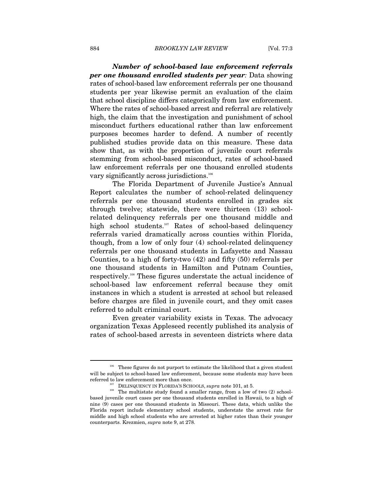*Number of school-based law enforcement referrals per one thousand enrolled students per year:* Data showing rates of school-based law enforcement referrals per one thousand students per year likewise permit an evaluation of the claim that school discipline differs categorically from law enforcement. Where the rates of school-based arrest and referral are relatively high, the claim that the investigation and punishment of school misconduct furthers educational rather than law enforcement purposes becomes harder to defend. A number of recently published studies provide data on this measure. These data show that, as with the proportion of juvenile court referrals stemming from school-based misconduct, rates of school-based law enforcement referrals per one thousand enrolled students vary significantly across jurisdictions.<sup>106</sup>

The Florida Department of Juvenile Justice's Annual Report calculates the number of school-related delinquency referrals per one thousand students enrolled in grades six through twelve; statewide, there were thirteen (13) schoolrelated delinquency referrals per one thousand middle and high school students.<sup>107</sup> Rates of school-based delinquency referrals varied dramatically across counties within Florida, though, from a low of only four (4) school-related delinquency referrals per one thousand students in Lafayette and Nassau Counties, to a high of forty-two (42) and fifty (50) referrals per one thousand students in Hamilton and Putnam Counties, respectively.108 These figures understate the actual incidence of school-based law enforcement referral because they omit instances in which a student is arrested at school but released before charges are filed in juvenile court, and they omit cases referred to adult criminal court.

Even greater variability exists in Texas. The advocacy organization Texas Appleseed recently published its analysis of rates of school-based arrests in seventeen districts where data

 $106$  These figures do not purport to estimate the likelihood that a given student will be subject to school-based law enforcement, because some students may have been

referred to law enforcement more than once.<br><sup>107</sup> DELINQUENCY IN FLORIDA'S SCHOOLS, *supra* note 101, at 5.<br><sup>108</sup> The multistate study found a smaller range, from a low of two (2) schoolbased juvenile court cases per one thousand students enrolled in Hawaii, to a high of nine (9) cases per one thousand students in Missouri. These data, which unlike the Florida report include elementary school students, understate the arrest rate for middle and high school students who are arrested at higher rates than their younger counterparts. Krezmien, *supra* note 9, at 278.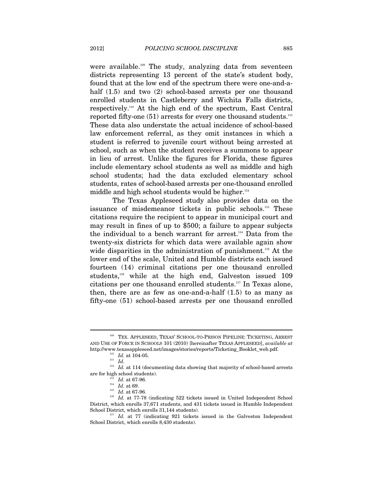were available.<sup>109</sup> The study, analyzing data from seventeen districts representing 13 percent of the state's student body, found that at the low end of the spectrum there were one-and-ahalf  $(1.5)$  and two  $(2)$  school-based arrests per one thousand enrolled students in Castleberry and Wichita Falls districts, respectively.110 At the high end of the spectrum, East Central reported fifty-one  $(51)$  arrests for every one thousand students.<sup>111</sup> These data also understate the actual incidence of school-based law enforcement referral, as they omit instances in which a student is referred to juvenile court without being arrested at school, such as when the student receives a summons to appear in lieu of arrest. Unlike the figures for Florida, these figures include elementary school students as well as middle and high school students; had the data excluded elementary school students, rates of school-based arrests per one-thousand enrolled middle and high school students would be higher.<sup>112</sup>

The Texas Appleseed study also provides data on the issuance of misdemeanor tickets in public schools.113 These citations require the recipient to appear in municipal court and may result in fines of up to \$500; a failure to appear subjects the individual to a bench warrant for arrest.114 Data from the twenty-six districts for which data were available again show wide disparities in the administration of punishment.<sup>115</sup> At the lower end of the scale, United and Humble districts each issued fourteen (14) criminal citations per one thousand enrolled students,<sup>116</sup> while at the high end, Galveston issued 109 citations per one thousand enrolled students.117 In Texas alone, then, there are as few as one-and-a-half  $(1.5)$  to as many as fifty-one (51) school-based arrests per one thousand enrolled

 $^{109}$  TEX. APPLESEED, TEXAS' SCHOOL-TO-PRISON PIPELINE: TICKETING, ARREST AND USE OF FORCE IN SCHOOLS 101 (2010) [hereinafter TEXAS APPLESEED], *available at* http://www.texasappleseed.net/images/stories/reports/Ticketing\_Booklet\_web.pdf. <sup>110</sup> *Id.* at 104-05. <sup>111</sup> *Id.* 

 $112$  *Id.* at 114 (documenting data showing that majority of school-based arrests are for high school students).<br>
<sup>113</sup> *Id.* at 67-96.<br>
<sup>114</sup> *Id.* at 69.<br>
<sup>115</sup> *Id.* at 67-96.

<sup>&</sup>lt;sup>116</sup> *Id.* at 77-78 (indicating 522 tickets issued in United Independent School District, which enrolls 37,671 students, and 431 tickets issued in Humble Independent

<sup>&</sup>lt;sup>117</sup> *Id.* at 77 (indicating 921 tickets issued in the Galveston Independent School District, which enrolls 8,430 students).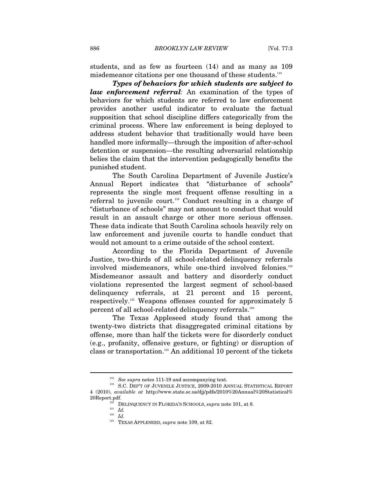students, and as few as fourteen (14) and as many as 109 misdemeanor citations per one thousand of these students.118

*Types of behaviors for which students are subject to law enforcement referral:* An examination of the types of behaviors for which students are referred to law enforcement provides another useful indicator to evaluate the factual supposition that school discipline differs categorically from the criminal process. Where law enforcement is being deployed to address student behavior that traditionally would have been handled more informally—through the imposition of after-school detention or suspension—the resulting adversarial relationship belies the claim that the intervention pedagogically benefits the punished student.

The South Carolina Department of Juvenile Justice's Annual Report indicates that "disturbance of schools" represents the single most frequent offense resulting in a referral to juvenile court.<sup>119</sup> Conduct resulting in a charge of "disturbance of schools" may not amount to conduct that would result in an assault charge or other more serious offenses. These data indicate that South Carolina schools heavily rely on law enforcement and juvenile courts to handle conduct that would not amount to a crime outside of the school context.

According to the Florida Department of Juvenile Justice, two-thirds of all school-related delinquency referrals involved misdemeanors, while one-third involved felonies.<sup>120</sup> Misdemeanor assault and battery and disorderly conduct violations represented the largest segment of school-based delinquency referrals, at 21 percent and 15 percent, respectively.121 Weapons offenses counted for approximately 5 percent of all school-related delinquency referrals.<sup>122</sup>

The Texas Appleseed study found that among the twenty-two districts that disaggregated criminal citations by offense, more than half the tickets were for disorderly conduct (e.g., profanity, offensive gesture, or fighting) or disruption of class or transportation.123 An additional 10 percent of the tickets

 $^{118}$  *See supra* notes 111-19 and accompanying text.  $^{119}$  S.C. DEP'T OF JUVENILE JUSTICE, 2009-2010 ANNUAL STATISTICAL REPORT 4 (2010), *available at* http://www.state.sc.us/djj/pdfs/2010%20Annual%20Statistical%

<sup>20</sup>Report.pdf. DELINQUENCY IN FLORIDA'S SCHOOLS, *supra* note 101, at 8. <sup>121</sup> *Id.* 

 $122$  *Id.* 

<sup>123</sup> TEXAS APPLESEED, *supra* note 109, at 82.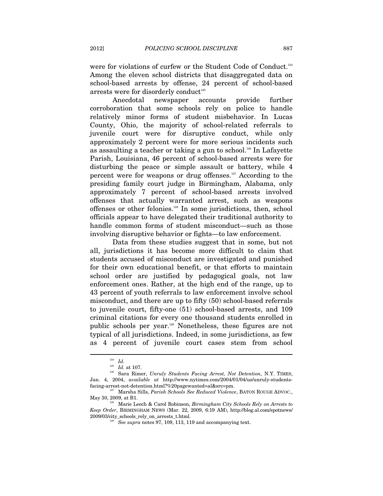were for violations of curfew or the Student Code of Conduct.<sup>124</sup> Among the eleven school districts that disaggregated data on school-based arrests by offense, 24 percent of school-based arrests were for disorderly conduct<sup>125</sup>

Anecdotal newspaper accounts provide further corroboration that some schools rely on police to handle relatively minor forms of student misbehavior. In Lucas County, Ohio, the majority of school-related referrals to juvenile court were for disruptive conduct, while only approximately 2 percent were for more serious incidents such as assaulting a teacher or taking a gun to school.126 In Lafayette Parish, Louisiana, 46 percent of school-based arrests were for disturbing the peace or simple assault or battery, while 4 percent were for weapons or drug offenses. $127$  According to the presiding family court judge in Birmingham, Alabama, only approximately 7 percent of school-based arrests involved offenses that actually warranted arrest, such as weapons offenses or other felonies.128 In some jurisdictions, then, school officials appear to have delegated their traditional authority to handle common forms of student misconduct—such as those involving disruptive behavior or fights—to law enforcement.

Data from these studies suggest that in some, but not all, jurisdictions it has become more difficult to claim that students accused of misconduct are investigated and punished for their own educational benefit, or that efforts to maintain school order are justified by pedagogical goals, not law enforcement ones. Rather, at the high end of the range, up to 43 percent of youth referrals to law enforcement involve school misconduct, and there are up to fifty (50) school-based referrals to juvenile court, fifty-one (51) school-based arrests, and 109 criminal citations for every one thousand students enrolled in public schools per year.129 Nonetheless, these figures are not typical of all jurisdictions. Indeed, in some jurisdictions, as few as 4 percent of juvenile court cases stem from school

 $\frac{124}{125}$  *Id.* at 107.

<sup>&</sup>lt;sup>126</sup> Sara Rimer, *Unruly Students Facing Arrest, Not Detention*, N.Y. TIMES, Jan. 4, 2004, *available at* http://www.nytimes.com/2004/01/04/us/unruly-students-

<sup>&</sup>lt;sup>127</sup> Marsha Sills, *Parish Schools See Reduced Violence*, BATON ROUGE ADVOC., May 30, 2009, at B1. 128 Marie Leech & Carol Robinson, *Birmingham City Schools Rely on Arrests to* 

*Keep Order*, BIRMINGHAM NEWS (Mar. 22, 2009, 6:19 AM), http://blog.al.com/spotnews/ 2009/03/city\_schools\_rely\_on\_arrests\_t.html. 129 *See supra* notes 97, 109, 113, 119 and accompanying text.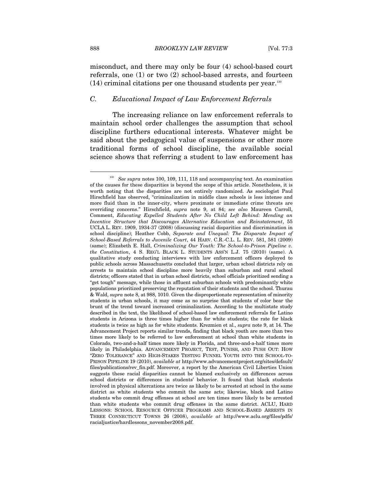misconduct, and there may only be four (4) school-based court referrals, one (1) or two (2) school-based arrests, and fourteen  $(14)$  criminal citations per one thousand students per year.<sup>130</sup>

## *C. Educational Impact of Law Enforcement Referrals*

The increasing reliance on law enforcement referrals to maintain school order challenges the assumption that school discipline furthers educational interests. Whatever might be said about the pedagogical value of suspensions or other more traditional forms of school discipline, the available social science shows that referring a student to law enforcement has

<sup>&</sup>lt;sup>130</sup> *See supra* notes 100, 109, 111, 118 and accompanying text. An examination of the causes for these disparities is beyond the scope of this article. Nonetheless, it is worth noting that the disparities are not entirely randomized. As sociologist Paul Hirschfield has observed, "criminalization in middle class schools is less intense and more fluid than in the inner-city, where proximate or immediate crime threats are overriding concerns." Hirschfield, *supra* note 9, at 84; *see also* Maureen Carroll, Comment, *Educating Expelled Students After No Child Left Behind: Mending an Incentive Structure that Discourages Alternative Education and Reinstatement*, 55 UCLA L. REV. 1909, 1934-37 (2008) (discussing racial disparities and discrimination in school discipline); Heather Cobb, *Separate and Unequal: The Disparate Impact of School-Based Referrals to Juvenile Court*, 44 HARV. C.R.-C.L. L. REV. 581, 581 (2009) (same); Elizabeth E. Hall, *Criminalizing Our Youth: The School-to-Prison Pipeline v. the Constitution*, 4 S. REG'L BLACK L. STUDENTS ASS'N L.J. 75 (2010) (same). A qualitative study conducting interviews with law enforcement officers deployed to public schools across Massachusetts concluded that larger, urban school districts rely on arrests to maintain school discipline more heavily than suburban and rural school districts; officers stated that in urban school districts, school officials prioritized sending a "get tough" message, while those in affluent suburban schools with predominantly white populations prioritized preserving the reputation of their students and the school. Thurau & Wald, *supra* note 8, at 988, 1010. Given the disproportionate representation of minority students in urban schools, it may come as no surprise that students of color bear the brunt of the trend toward increased criminalization. According to the multistate study described in the text, the likelihood of school-based law enforcement referrals for Latino students in Arizona is three times higher than for white students; the rate for black students is twice as high as for white students. Krezmien et al., *supra* note 9, at 14. The Advancement Project reports similar trends, finding that black youth are more than two times more likely to be referred to law enforcement at school than white students in Colorado, two-and-a-half times more likely in Florida, and three-and-a-half times more likely in Philadelphia. ADVANCEMENT PROJECT, TEST, PUNISH, AND PUSH OUT: HOW "ZERO TOLERANCE" AND HIGH-STAKES TESTING FUNNEL YOUTH INTO THE SCHOOL-TO-PRISON PIPELINE 19 (2010), *available at* http://www.advancementproject.org/sites/default/ files/publications/rev\_fin.pdf. Moreover, a report by the American Civil Liberties Union suggests these racial disparities cannot be blamed exclusively on differences across school districts or differences in students' behavior. It found that black students involved in physical altercations are twice as likely to be arrested at school in the same district as white students who commit the same acts; likewise, black and Latino students who commit drug offenses at school are ten times more likely to be arrested than white students who commit drug offenses in the same district. ACLU, HARD LESSONS: SCHOOL RESOURCE OFFICER PROGRAMS AND SCHOOL-BASED ARRESTS IN THREE CONNECTICUT TOWNS 26 (2008), *available at* http://www.aclu.org/files/pdfs/ racialjustice/hardlessons\_november2008.pdf.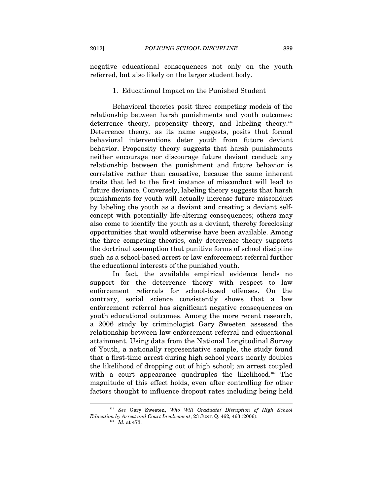negative educational consequences not only on the youth referred, but also likely on the larger student body.

#### 1. Educational Impact on the Punished Student

Behavioral theories posit three competing models of the relationship between harsh punishments and youth outcomes: deterrence theory, propensity theory, and labeling theory.<sup>131</sup> Deterrence theory, as its name suggests, posits that formal behavioral interventions deter youth from future deviant behavior. Propensity theory suggests that harsh punishments neither encourage nor discourage future deviant conduct; any relationship between the punishment and future behavior is correlative rather than causative, because the same inherent traits that led to the first instance of misconduct will lead to future deviance. Conversely, labeling theory suggests that harsh punishments for youth will actually increase future misconduct by labeling the youth as a deviant and creating a deviant selfconcept with potentially life-altering consequences; others may also come to identify the youth as a deviant, thereby foreclosing opportunities that would otherwise have been available. Among the three competing theories, only deterrence theory supports the doctrinal assumption that punitive forms of school discipline such as a school-based arrest or law enforcement referral further the educational interests of the punished youth.

In fact, the available empirical evidence lends no support for the deterrence theory with respect to law enforcement referrals for school-based offenses. On the contrary, social science consistently shows that a law enforcement referral has significant negative consequences on youth educational outcomes. Among the more recent research, a 2006 study by criminologist Gary Sweeten assessed the relationship between law enforcement referral and educational attainment. Using data from the National Longitudinal Survey of Youth, a nationally representative sample, the study found that a first-time arrest during high school years nearly doubles the likelihood of dropping out of high school; an arrest coupled with a court appearance quadruples the likelihood.<sup>132</sup> The magnitude of this effect holds, even after controlling for other factors thought to influence dropout rates including being held

<sup>131</sup> *See* Gary Sweeten, *Who Will Graduate? Disruption of High School Education by Arrest and Court Involvement*, 23 JUST. Q. 462, 463 (2006). 132 *Id.* at 473.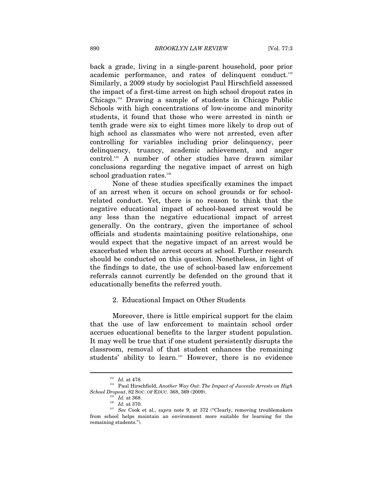back a grade, living in a single-parent household, poor prior academic performance, and rates of delinquent conduct.<sup>133</sup> Similarly, a 2009 study by sociologist Paul Hirschfield assessed the impact of a first-time arrest on high school dropout rates in Chicago.134 Drawing a sample of students in Chicago Public Schools with high concentrations of low-income and minority students, it found that those who were arrested in ninth or tenth grade were six to eight times more likely to drop out of high school as classmates who were not arrested, even after controlling for variables including prior delinquency, peer delinquency, truancy, academic achievement, and anger control.135 A number of other studies have drawn similar conclusions regarding the negative impact of arrest on high school graduation rates.<sup>136</sup>

None of these studies specifically examines the impact of an arrest when it occurs on school grounds or for schoolrelated conduct. Yet, there is no reason to think that the negative educational impact of school-based arrest would be any less than the negative educational impact of arrest generally. On the contrary, given the importance of school officials and students maintaining positive relationships, one would expect that the negative impact of an arrest would be exacerbated when the arrest occurs at school. Further research should be conducted on this question. Nonetheless, in light of the findings to date, the use of school-based law enforcement referrals cannot currently be defended on the ground that it educationally benefits the referred youth.

#### 2. Educational Impact on Other Students

Moreover, there is little empirical support for the claim that the use of law enforcement to maintain school order accrues educational benefits to the larger student population. It may well be true that if one student persistently disrupts the classroom, removal of that student enhances the remaining students' ability to learn.<sup>137</sup> However, there is no evidence

<sup>&</sup>lt;sup>133</sup> *Id.* at 478.<br><sup>134</sup> Paul Hirschfield, *Another Way Out: The Impact of Juvenile Arrests on High School Dropout*, 82 Soc. OF EDUC. 368, 369 (2009).

<sup>&</sup>lt;sup>136</sup> *Id.* at 368.<br><sup>136</sup> *Id.* at 370.<br><sup>137</sup> See Cook et al., *supra* note 9, at 372 ("Clearly, removing troublemakers from school helps maintain an environment more suitable for learning for the remaining students.").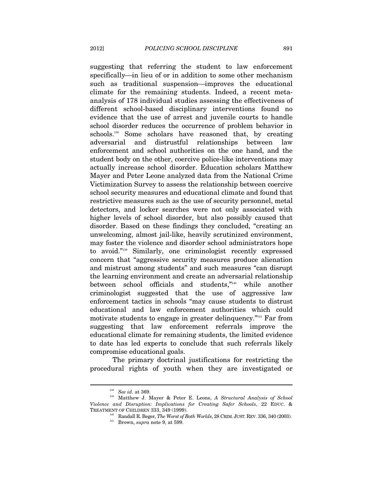suggesting that referring the student to law enforcement specifically—in lieu of or in addition to some other mechanism such as traditional suspension—improves the educational climate for the remaining students. Indeed, a recent metaanalysis of 178 individual studies assessing the effectiveness of different school-based disciplinary interventions found no evidence that the use of arrest and juvenile courts to handle school disorder reduces the occurrence of problem behavior in schools.<sup>138</sup> Some scholars have reasoned that, by creating adversarial and distrustful relationships between law enforcement and school authorities on the one hand, and the student body on the other, coercive police-like interventions may actually increase school disorder. Education scholars Matthew Mayer and Peter Leone analyzed data from the National Crime Victimization Survey to assess the relationship between coercive school security measures and educational climate and found that restrictive measures such as the use of security personnel, metal detectors, and locker searches were not only associated with higher levels of school disorder, but also possibly caused that disorder. Based on these findings they concluded, "creating an unwelcoming, almost jail-like, heavily scrutinized environment, may foster the violence and disorder school administrators hope to avoid."139 Similarly, one criminologist recently expressed concern that "aggressive security measures produce alienation and mistrust among students" and such measures "can disrupt the learning environment and create an adversarial relationship between school officials and students,"140 while another criminologist suggested that the use of aggressive law enforcement tactics in schools "may cause students to distrust educational and law enforcement authorities which could motivate students to engage in greater delinquency."<sup>141</sup> Far from suggesting that law enforcement referrals improve the educational climate for remaining students, the limited evidence to date has led experts to conclude that such referrals likely compromise educational goals.

The primary doctrinal justifications for restricting the procedural rights of youth when they are investigated or

<sup>&</sup>lt;sup>138</sup> See id. at 369.<br><sup>139</sup> Matthew J. Mayer & Peter E. Leone, *A Structural Analysis of School Violence and Disruption: Implications for Creating Safer Schools*, 22 EDUC. &

 $^{140}$  Randall R. Beger,  $The\textit{Worst}$  of Both Worlds, 28 CRIM. JUST. REV. 336, 340 (2003). Brown,  $supra$  note 9, at 599.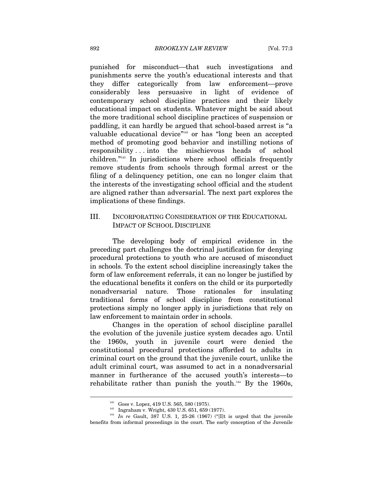punished for misconduct—that such investigations and punishments serve the youth's educational interests and that they differ categorically from law enforcement—prove considerably less persuasive in light of evidence of contemporary school discipline practices and their likely educational impact on students. Whatever might be said about the more traditional school discipline practices of suspension or paddling, it can hardly be argued that school-based arrest is "a valuable educational device"<sup>142</sup> or has "long been an accepted method of promoting good behavior and instilling notions of responsibility . . . into the mischievous heads of school children."143 In jurisdictions where school officials frequently remove students from schools through formal arrest or the filing of a delinquency petition, one can no longer claim that the interests of the investigating school official and the student are aligned rather than adversarial. The next part explores the implications of these findings.

## III. INCORPORATING CONSIDERATION OF THE EDUCATIONAL IMPACT OF SCHOOL DISCIPLINE

The developing body of empirical evidence in the preceding part challenges the doctrinal justification for denying procedural protections to youth who are accused of misconduct in schools. To the extent school discipline increasingly takes the form of law enforcement referrals, it can no longer be justified by the educational benefits it confers on the child or its purportedly nonadversarial nature. Those rationales for insulating traditional forms of school discipline from constitutional protections simply no longer apply in jurisdictions that rely on law enforcement to maintain order in schools.

Changes in the operation of school discipline parallel the evolution of the juvenile justice system decades ago. Until the 1960s, youth in juvenile court were denied the constitutional procedural protections afforded to adults in criminal court on the ground that the juvenile court, unlike the adult criminal court, was assumed to act in a nonadversarial manner in furtherance of the accused youth's interests—to rehabilitate rather than punish the youth.<sup>144</sup> By the 1960s,

<sup>142</sup> Goss v. Lopez, 419 U.S. 565, 580 (1975). 143 Ingraham v. Wright, 430 U.S. 651, 659 (1977). 144 *In re* Gault, 387 U.S. 1, 25-26 (1967) ("[I]t is urged that the juvenile benefits from informal proceedings in the court. The early conception of the Juvenile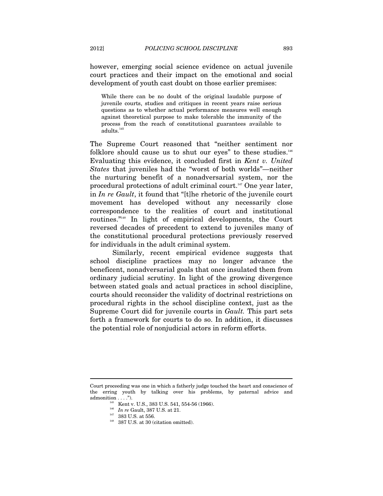however, emerging social science evidence on actual juvenile court practices and their impact on the emotional and social development of youth cast doubt on those earlier premises:

While there can be no doubt of the original laudable purpose of juvenile courts, studies and critiques in recent years raise serious questions as to whether actual performance measures well enough against theoretical purpose to make tolerable the immunity of the process from the reach of constitutional guarantees available to  $adults.<sup>14</sup>$ 

The Supreme Court reasoned that "neither sentiment nor folklore should cause us to shut our eyes" to these studies. $146$ Evaluating this evidence, it concluded first in *Kent v. United States* that juveniles had the "worst of both worlds"—neither the nurturing benefit of a nonadversarial system, nor the procedural protections of adult criminal court.<sup>147</sup> One year later, in *In re Gault*, it found that "[t]he rhetoric of the juvenile court movement has developed without any necessarily close correspondence to the realities of court and institutional routines."148 In light of empirical developments, the Court reversed decades of precedent to extend to juveniles many of the constitutional procedural protections previously reserved for individuals in the adult criminal system.

Similarly, recent empirical evidence suggests that school discipline practices may no longer advance the beneficent, nonadversarial goals that once insulated them from ordinary judicial scrutiny. In light of the growing divergence between stated goals and actual practices in school discipline, courts should reconsider the validity of doctrinal restrictions on procedural rights in the school discipline context, just as the Supreme Court did for juvenile courts in *Gault.* This part sets forth a framework for courts to do so. In addition, it discusses the potential role of nonjudicial actors in reform efforts.

Court proceeding was one in which a fatherly judge touched the heart and conscience of the erring youth by talking over his problems, by paternal advice and admonition . . . .").<br><sup>145</sup> Kent v. U.S., 383 U.S. 541, 554-56 (1966).<br><sup>146</sup> *In re* Gault, 387 U.S. at 21.<br><sup>147</sup> 383 U.S. at 556.<br><sup>148</sup> 387 U.S. at 30 (citation omitted).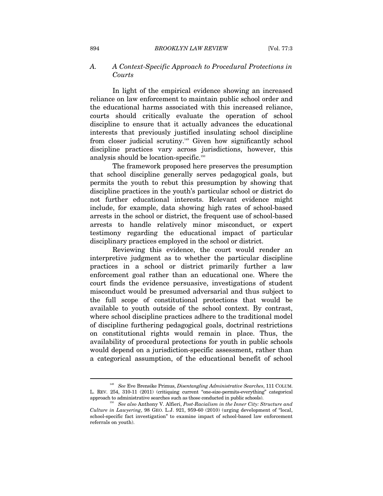#### *A. A Context-Specific Approach to Procedural Protections in Courts*

In light of the empirical evidence showing an increased reliance on law enforcement to maintain public school order and the educational harms associated with this increased reliance, courts should critically evaluate the operation of school discipline to ensure that it actually advances the educational interests that previously justified insulating school discipline from closer judicial scrutiny.<sup>149</sup> Given how significantly school discipline practices vary across jurisdictions, however, this analysis should be location-specific.<sup>150</sup>

The framework proposed here preserves the presumption that school discipline generally serves pedagogical goals, but permits the youth to rebut this presumption by showing that discipline practices in the youth's particular school or district do not further educational interests. Relevant evidence might include, for example, data showing high rates of school-based arrests in the school or district, the frequent use of school-based arrests to handle relatively minor misconduct, or expert testimony regarding the educational impact of particular disciplinary practices employed in the school or district.

Reviewing this evidence, the court would render an interpretive judgment as to whether the particular discipline practices in a school or district primarily further a law enforcement goal rather than an educational one. Where the court finds the evidence persuasive, investigations of student misconduct would be presumed adversarial and thus subject to the full scope of constitutional protections that would be available to youth outside of the school context. By contrast, where school discipline practices adhere to the traditional model of discipline furthering pedagogical goals, doctrinal restrictions on constitutional rights would remain in place. Thus, the availability of procedural protections for youth in public schools would depend on a jurisdiction-specific assessment, rather than a categorical assumption, of the educational benefit of school

<sup>149</sup> *See* Eve Brensike Primus, *Disentangling Administrative Searches*, 111 COLUM. L. REV. 254, 310-11 (2011) (critiquing current "one-size-permits-everything" categorical approach to administrative searches such as those conducted in public schools). 150 *See also* Anthony V. Alfieri, *Post-Racialism in the Inner City: Structure and* 

*Culture in Lawyering*, 98 GEO. L.J. 921, 959-60 (2010) (urging development of "local, school-specific fact investigation" to examine impact of school-based law enforcement referrals on youth).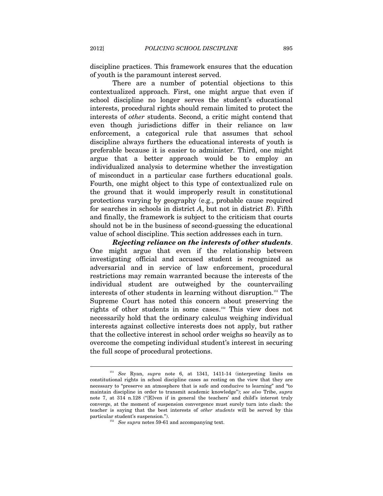discipline practices. This framework ensures that the education of youth is the paramount interest served.

There are a number of potential objections to this contextualized approach. First, one might argue that even if school discipline no longer serves the student's educational interests, procedural rights should remain limited to protect the interests of *other* students. Second, a critic might contend that even though jurisdictions differ in their reliance on law enforcement, a categorical rule that assumes that school discipline always furthers the educational interests of youth is preferable because it is easier to administer. Third, one might argue that a better approach would be to employ an individualized analysis to determine whether the investigation of misconduct in a particular case furthers educational goals. Fourth, one might object to this type of contextualized rule on the ground that it would improperly result in constitutional protections varying by geography (e.g., probable cause required for searches in schools in district *A*, but not in district *B*). Fifth and finally, the framework is subject to the criticism that courts should not be in the business of second-guessing the educational value of school discipline. This section addresses each in turn.

*Rejecting reliance on the interests of other students*. One might argue that even if the relationship between investigating official and accused student is recognized as adversarial and in service of law enforcement, procedural restrictions may remain warranted because the interests of the individual student are outweighed by the countervailing interests of other students in learning without disruption.<sup>151</sup> The Supreme Court has noted this concern about preserving the rights of other students in some cases.152 This view does not necessarily hold that the ordinary calculus weighing individual interests against collective interests does not apply, but rather that the collective interest in school order weighs so heavily as to overcome the competing individual student's interest in securing the full scope of procedural protections.

<sup>151</sup> *See* Ryan, *supra* note 6, at 1341, 1411-14 (interpreting limits on constitutional rights in school discipline cases as resting on the view that they are necessary to "preserve an atmosphere that is safe and conducive to learning" and "to maintain discipline in order to transmit academic knowledge"); *see also* Tribe, *supra*  note 7, at 314 n.128 ("[E]ven if in general the teachers' and child's interest truly converge, at the moment of suspension convergence must surely turn into clash: the teacher is saying that the best interests of *other students* will be served by this particular student's suspension."). 152 *See supra* notes 59-61 and accompanying text.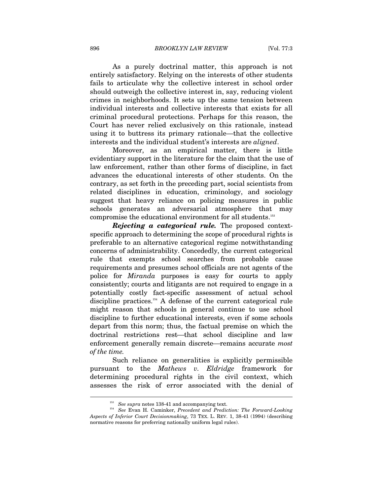As a purely doctrinal matter, this approach is not entirely satisfactory. Relying on the interests of other students fails to articulate why the collective interest in school order should outweigh the collective interest in, say, reducing violent crimes in neighborhoods. It sets up the same tension between individual interests and collective interests that exists for all criminal procedural protections. Perhaps for this reason, the Court has never relied exclusively on this rationale, instead using it to buttress its primary rationale—that the collective interests and the individual student's interests are *aligned*.

Moreover, as an empirical matter, there is little evidentiary support in the literature for the claim that the use of law enforcement, rather than other forms of discipline, in fact advances the educational interests of other students. On the contrary, as set forth in the preceding part, social scientists from related disciplines in education, criminology, and sociology suggest that heavy reliance on policing measures in public schools generates an adversarial atmosphere that may compromise the educational environment for all students.153

*Rejecting a categorical rule.* The proposed contextspecific approach to determining the scope of procedural rights is preferable to an alternative categorical regime notwithstanding concerns of administrability. Concededly, the current categorical rule that exempts school searches from probable cause requirements and presumes school officials are not agents of the police for *Miranda* purposes is easy for courts to apply consistently; courts and litigants are not required to engage in a potentially costly fact-specific assessment of actual school discipline practices.<sup>154</sup> A defense of the current categorical rule might reason that schools in general continue to use school discipline to further educational interests, even if some schools depart from this norm; thus, the factual premise on which the doctrinal restrictions rest—that school discipline and law enforcement generally remain discrete—remains accurate *most of the time.*

Such reliance on generalities is explicitly permissible pursuant to the *Mathews v. Eldridge* framework for determining procedural rights in the civil context, which assesses the risk of error associated with the denial of

<sup>&</sup>lt;sup>153</sup> *See supra* notes 138-41 and accompanying text.<br><sup>154</sup> *See* Evan H. Caminker, *Precedent and Prediction: The Forward-Looking Aspects of Inferior Court Decisionmaking*, 73 TEX. L. REV. 1, 38-41 (1994) (describing normative reasons for preferring nationally uniform legal rules).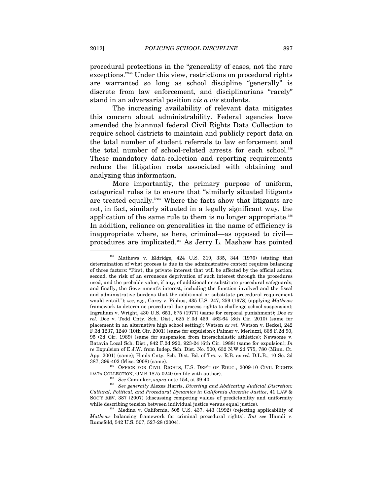procedural protections in the "generality of cases, not the rare exceptions."155 Under this view, restrictions on procedural rights are warranted so long as school discipline "generally" is discrete from law enforcement, and disciplinarians "rarely" stand in an adversarial position *vis a vis* students.

The increasing availability of relevant data mitigates this concern about administrability. Federal agencies have amended the biannual federal Civil Rights Data Collection to require school districts to maintain and publicly report data on the total number of student referrals to law enforcement and the total number of school-related arrests for each school.<sup>156</sup> These mandatory data-collection and reporting requirements reduce the litigation costs associated with obtaining and analyzing this information.

More importantly, the primary purpose of uniform, categorical rules is to ensure that "similarly situated litigants are treated equally."157 Where the facts show that litigants are not, in fact, similarly situated in a legally significant way, the application of the same rule to them is no longer appropriate.<sup>158</sup> In addition, reliance on generalities in the name of efficiency is inappropriate where, as here, criminal—as opposed to civil procedures are implicated.159 As Jerry L. Mashaw has pointed

<sup>156</sup> OFFICE FOR CIVIL RIGHTS, U.S. DEP'T OF EDUC., 2009-10 CIVIL RIGHTS DATA COLLECTION, OMB 1875-0240 (on file with author).<br><sup>157</sup> See Caminker, *supra* note 154, at 39-40.<br><sup>158</sup> See generally Alexes Harris, *Diverting and Abdicating Judicial Discretion*:

*Cultural, Political, and Procedural Dynamics in California Juvenile Justice*, 41 LAW & SOC'Y REV. 387 (2007) (discussing competing values of predictability and uniformity while describing tension between individual justice versus equal justice).<br><sup>159</sup> Medina v. California, 505 U.S. 437, 443 (1992) (rejecting applicability of

*Mathews* balancing framework for criminal procedural rights). *But see* Hamdi v. Rumsfeld, 542 U.S. 507, 527-28 (2004).

 $155$  Mathews v. Eldridge, 424 U.S. 319, 335, 344 (1976) (stating that determination of what process is due in the administrative context requires balancing of three factors: "First, the private interest that will be affected by the official action; second, the risk of an erroneous deprivation of such interest through the procedures used, and the probable value, if any, of additional or substitute procedural safeguards; and finally, the Government's interest, including the function involved and the fiscal and administrative burdens that the additional or substitute procedural requirement would entail."); *see, e.g.*, Carey v. Piphus, 435 U.S. 247, 259 (1978) (applying *Mathews* framework to determine procedural due process rights to challenge school suspension); Ingraham v. Wright, 430 U.S. 651, 675 (1977) (same for corporal punishment); Doe *ex rel.* Doe v. Todd Cnty. Sch. Dist., 625 F.3d 459, 462-64 (8th Cir. 2010) (same for placement in an alternative high school setting); Watson *ex rel.* Watson v. Beckel, 242 F.3d 1237, 1240 (10th Cir. 2001) (same for expulsion); Palmer v. Merluzzi, 868 F.2d 90, 95 (3d Cir. 1989) (same for suspension from interscholastic athletics); Newsome v. Batavia Local Sch. Dist., 842 F.2d 920, 923-24 (6th Cir. 1988) (same for expulsion); *In re* Expulsion of E.J.W. from Indep. Sch. Dist. No. 500, 632 N.W.2d 775, 780 (Minn. Ct. App. 2001) (same); Hinds Cnty. Sch. Dist. Bd. of Trs. v. R.B. *ex rel.* D.L.B., 10 So. 3d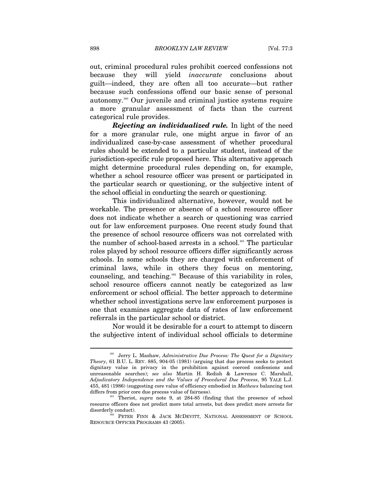out, criminal procedural rules prohibit coerced confessions not because they will yield *inaccurate* conclusions about guilt—indeed, they are often all too accurate—but rather because such confessions offend our basic sense of personal autonomy.160 Our juvenile and criminal justice systems require a more granular assessment of facts than the current categorical rule provides.

*Rejecting an individualized rule.* In light of the need for a more granular rule, one might argue in favor of an individualized case-by-case assessment of whether procedural rules should be extended to a particular student, instead of the jurisdiction-specific rule proposed here. This alternative approach might determine procedural rules depending on, for example, whether a school resource officer was present or participated in the particular search or questioning, or the subjective intent of the school official in conducting the search or questioning.

This individualized alternative, however, would not be workable. The presence or absence of a school resource officer does not indicate whether a search or questioning was carried out for law enforcement purposes. One recent study found that the presence of school resource officers was not correlated with the number of school-based arrests in a school.<sup>161</sup> The particular roles played by school resource officers differ significantly across schools. In some schools they are charged with enforcement of criminal laws, while in others they focus on mentoring, counseling, and teaching.162 Because of this variability in roles, school resource officers cannot neatly be categorized as law enforcement or school official. The better approach to determine whether school investigations serve law enforcement purposes is one that examines aggregate data of rates of law enforcement referrals in the particular school or district.

Nor would it be desirable for a court to attempt to discern the subjective intent of individual school officials to determine

<sup>&</sup>lt;sup>160</sup> Jerry L. Mashaw, *Administrative Due Process: The Quest for a Dignitary Theory*, 61 B.U. L. REV. 885, 904-05 (1981) (arguing that due process seeks to protect dignitary value in privacy in the prohibition against coerced confessions and unreasonable searches); *see also* Martin H. Redish & Lawrence C. Marshall, *Adjudicatory Independence and the Values of Procedural Due Process*, 95 YALE L.J. 455, 481 (1986) (suggesting core value of efficiency embodied in *Mathews* balancing test differs from prior core due process value of fairness). 161 Theriot, *supra* note 9, at 284-85 (finding that the presence of school

resource officers does not predict more total arrests, but does predict more arrests for disorderly conduct).<br>
<sup>162</sup> PETER FINN & JACK MCDEVITT, NATIONAL ASSESSMENT OF SCHOOL

RESOURCE OFFICER PROGRAMS 43 (2005).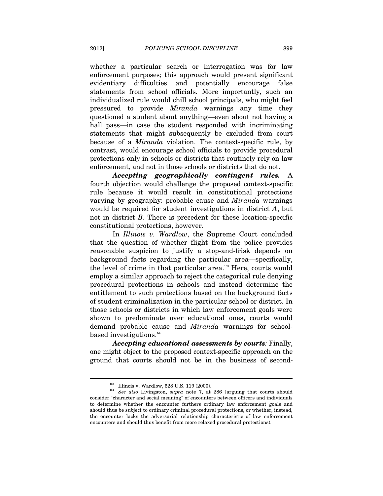whether a particular search or interrogation was for law enforcement purposes; this approach would present significant evidentiary difficulties and potentially encourage false statements from school officials. More importantly, such an individualized rule would chill school principals, who might feel pressured to provide *Miranda* warnings any time they questioned a student about anything—even about not having a hall pass—in case the student responded with incriminating statements that might subsequently be excluded from court because of a *Miranda* violation. The context-specific rule, by contrast, would encourage school officials to provide procedural protections only in schools or districts that routinely rely on law enforcement, and not in those schools or districts that do not.

*Accepting geographically contingent rules.* A fourth objection would challenge the proposed context-specific rule because it would result in constitutional protections varying by geography: probable cause and *Miranda* warnings would be required for student investigations in district *A*, but not in district *B*. There is precedent for these location-specific constitutional protections, however.

In *Illinois v. Wardlow*, the Supreme Court concluded that the question of whether flight from the police provides reasonable suspicion to justify a stop-and-frisk depends on background facts regarding the particular area—specifically, the level of crime in that particular area.<sup>163</sup> Here, courts would employ a similar approach to reject the categorical rule denying procedural protections in schools and instead determine the entitlement to such protections based on the background facts of student criminalization in the particular school or district. In those schools or districts in which law enforcement goals were shown to predominate over educational ones, courts would demand probable cause and *Miranda* warnings for schoolbased investigations.<sup>164</sup>

*Accepting educational assessments by courts:* Finally, one might object to the proposed context-specific approach on the ground that courts should not be in the business of second-

<sup>&</sup>lt;sup>163</sup> Illinois v. Wardlow, 528 U.S. 119 (2000).<br><sup>164</sup> *See also* Livingston, *supra* note 7, at 286 (arguing that courts should consider "character and social meaning" of encounters between officers and individuals to determine whether the encounter furthers ordinary law enforcement goals and should thus be subject to ordinary criminal procedural protections, or whether, instead, the encounter lacks the adversarial relationship characteristic of law enforcement encounters and should thus benefit from more relaxed procedural protections).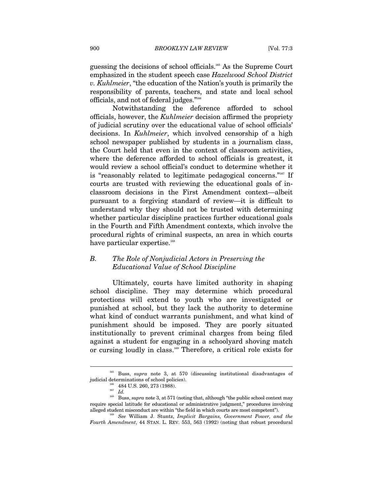guessing the decisions of school officials.165 As the Supreme Court emphasized in the student speech case *Hazelwood School District v. Kuhlmeier*, "the education of the Nation's youth is primarily the responsibility of parents, teachers, and state and local school officials, and not of federal judges."166

Notwithstanding the deference afforded to school officials, however, the *Kuhlmeier* decision affirmed the propriety of judicial scrutiny over the educational value of school officials' decisions. In *Kuhlmeier*, which involved censorship of a high school newspaper published by students in a journalism class, the Court held that even in the context of classroom activities, where the deference afforded to school officials is greatest, it would review a school official's conduct to determine whether it is "reasonably related to legitimate pedagogical concerns."167 If courts are trusted with reviewing the educational goals of inclassroom decisions in the First Amendment context—albeit pursuant to a forgiving standard of review—it is difficult to understand why they should not be trusted with determining whether particular discipline practices further educational goals in the Fourth and Fifth Amendment contexts, which involve the procedural rights of criminal suspects, an area in which courts have particular expertise.<sup>168</sup>

# *B. The Role of Nonjudicial Actors in Preserving the Educational Value of School Discipline*

Ultimately, courts have limited authority in shaping school discipline. They may determine which procedural protections will extend to youth who are investigated or punished at school, but they lack the authority to determine what kind of conduct warrants punishment, and what kind of punishment should be imposed. They are poorly situated institutionally to prevent criminal charges from being filed against a student for engaging in a schoolyard shoving match or cursing loudly in class.169 Therefore, a critical role exists for

<sup>165</sup> Buss, *supra* note 3, at 570 (discussing institutional disadvantages of judicial determinations of school policies). 166 484 U.S. 260, 273 (1988). 167 *Id.*

 $^{168}$  Buss,  $supra$  note 3, at 571 (noting that, although "the public school context may require special latitude for educational or administrative judgment," procedures involving alleged student misconduct are within "the field in which courts are most competent").

 $169$  See William J. Stuntz, *Implicit Bargains, Government Power, and the Fourth Amendment*, 44 STAN. L. REV. 553, 563 (1992) (noting that robust procedural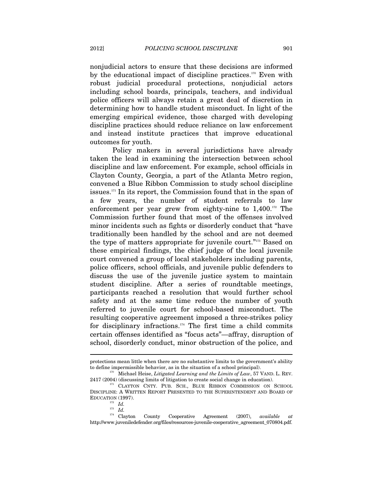nonjudicial actors to ensure that these decisions are informed by the educational impact of discipline practices.<sup>170</sup> Even with robust judicial procedural protections, nonjudicial actors including school boards, principals, teachers, and individual police officers will always retain a great deal of discretion in determining how to handle student misconduct. In light of the emerging empirical evidence, those charged with developing discipline practices should reduce reliance on law enforcement and instead institute practices that improve educational outcomes for youth.

Policy makers in several jurisdictions have already taken the lead in examining the intersection between school discipline and law enforcement. For example, school officials in Clayton County, Georgia, a part of the Atlanta Metro region, convened a Blue Ribbon Commission to study school discipline issues. $171$  In its report, the Commission found that in the span of a few years, the number of student referrals to law enforcement per year grew from eighty-nine to  $1,400$ .<sup>172</sup> The Commission further found that most of the offenses involved minor incidents such as fights or disorderly conduct that "have traditionally been handled by the school and are not deemed the type of matters appropriate for juvenile court."<sup>173</sup> Based on these empirical findings, the chief judge of the local juvenile court convened a group of local stakeholders including parents, police officers, school officials, and juvenile public defenders to discuss the use of the juvenile justice system to maintain student discipline. After a series of roundtable meetings, participants reached a resolution that would further school safety and at the same time reduce the number of youth referred to juvenile court for school-based misconduct. The resulting cooperative agreement imposed a three-strikes policy for disciplinary infractions.<sup>174</sup> The first time a child commits certain offenses identified as "focus acts"—affray, disruption of school, disorderly conduct, minor obstruction of the police, and

protections mean little when there are no substantive limits to the government's ability to define impermissible behavior, as in the situation of a school principal). 170 Michael Heise, *Litigated Learning and the Limits of Law*, 57 VAND. L. REV.

<sup>2417 (2004) (</sup>discussing limits of litigation to create social change in education).<br><sup>171</sup> CLAYTON CNTY. PUB. SCH., BLUE RIBBON COMMISSION ON SCHOOL

DISCIPLINE: A WRITTEN REPORT PRESENTED TO THE SUPERINTENDENT AND BOARD OF EDUCATION (1997).<br> $\frac{172}{172}$  *Id.* 

<sup>173</sup> *Id.*

<sup>174</sup> Clayton County Cooperative Agreement (2007), *available at* http://www.juveniledefender.org/files/resources-juvenile-cooperative\_agreement\_070804.pdf.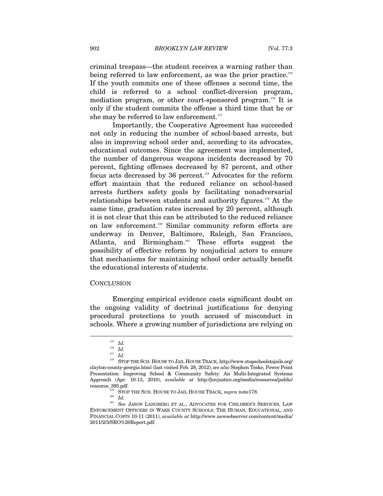criminal trespass—the student receives a warning rather than being referred to law enforcement, as was the prior practice.<sup>175</sup> If the youth commits one of these offenses a second time, the child is referred to a school conflict-diversion program, mediation program, or other court-sponsored program.<sup>176</sup> It is only if the student commits the offense a third time that he or she may be referred to law enforcement.<sup>177</sup>

Importantly, the Cooperative Agreement has succeeded not only in reducing the number of school-based arrests, but also in improving school order and, according to its advocates, educational outcomes. Since the agreement was implemented, the number of dangerous weapons incidents decreased by 70 percent, fighting offenses decreased by 87 percent, and other focus acts decreased by 36 percent.<sup>178</sup> Advocates for the reform effort maintain that the reduced reliance on school-based arrests furthers safety goals by facilitating nonadversarial relationships between students and authority figures.179 At the same time, graduation rates increased by 20 percent, although it is not clear that this can be attributed to the reduced reliance on law enforcement.180 Similar community reform efforts are underway in Denver, Baltimore, Raleigh, San Francisco, Atlanta, and Birmingham.<sup>181</sup> These efforts suggest the possibility of effective reform by nonjudicial actors to ensure that mechanisms for maintaining school order actually benefit the educational interests of students.

#### **CONCLUSION**

Emerging empirical evidence casts significant doubt on the ongoing validity of doctrinal justifications for denying procedural protections to youth accused of misconduct in schools. Where a growing number of jurisdictions are relying on

<sup>175</sup> *Id.*

<sup>176</sup> *Id.*

<sup>177</sup> *Id.*

<sup>178</sup> STOP THE SCH. HOUSE TO JAIL HOUSE TRACK, http://www.stopschoolstojails.org/ clayton-county-georgia.html (last visited Feb. 28, 2012); *see also* Stephen Teske, Power Point Presentation: Improving School & Community Safety: An Multi-Integrated Systems Approach (Apr. 10-13, 2010), *available at* http://juvjustice.org/media/resources/public/

 $^{179}$  STOP THE SCH. HOUSE TO JAIL HOUSE TRACK,  ${supra}$  note<br>178.  ${Id.}$   ${Id.}$   ${Set}$  JASON LANGBERG ET AL., ADVOCATES FOR CHILDREN'S SERVICES, LAW ENFORCEMENT OFFICERS IN WAKE COUNTY SCHOOLS: THE HUMAN, EDUCATIONAL, AND FINANCIAL COSTS 10-11 (2011), *available at* http://www.newsobserver.com/content/media/ 2011/2/3/SRO%20Report.pdf.